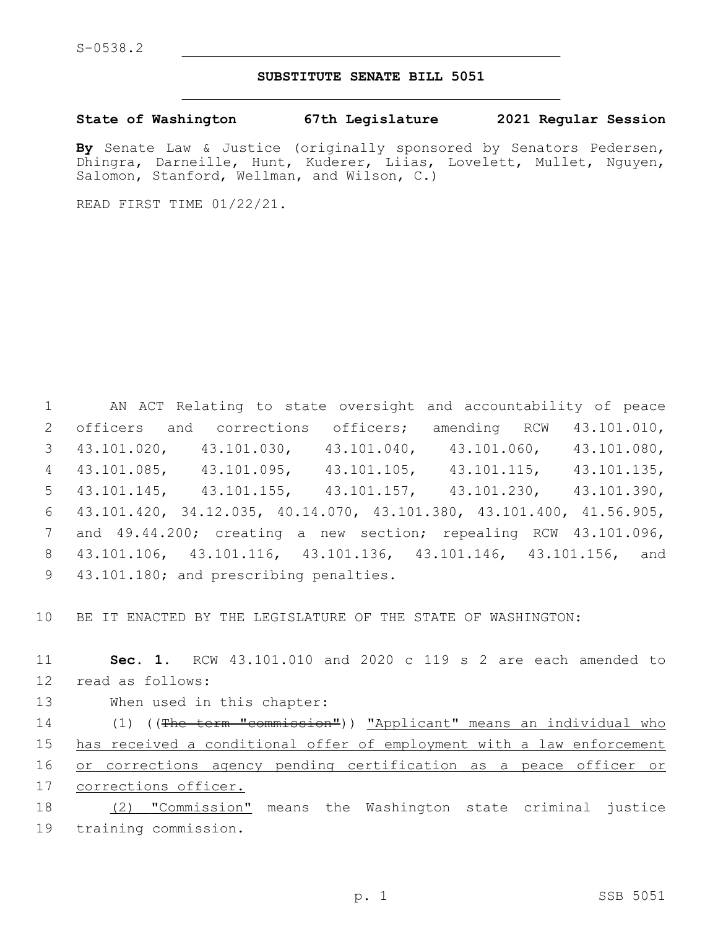## **SUBSTITUTE SENATE BILL 5051**

**State of Washington 67th Legislature 2021 Regular Session**

**By** Senate Law & Justice (originally sponsored by Senators Pedersen, Dhingra, Darneille, Hunt, Kuderer, Liias, Lovelett, Mullet, Nguyen, Salomon, Stanford, Wellman, and Wilson, C.)

READ FIRST TIME 01/22/21.

 AN ACT Relating to state oversight and accountability of peace 2 officers and corrections officers; amending RCW 43.101.010, 43.101.020, 43.101.030, 43.101.040, 43.101.060, 43.101.080, 43.101.085, 43.101.095, 43.101.105, 43.101.115, 43.101.135, 43.101.145, 43.101.155, 43.101.157, 43.101.230, 43.101.390, 43.101.420, 34.12.035, 40.14.070, 43.101.380, 43.101.400, 41.56.905, and 49.44.200; creating a new section; repealing RCW 43.101.096, 43.101.106, 43.101.116, 43.101.136, 43.101.146, 43.101.156, and 9 43.101.180; and prescribing penalties.

10 BE IT ENACTED BY THE LEGISLATURE OF THE STATE OF WASHINGTON:

11 **Sec. 1.** RCW 43.101.010 and 2020 c 119 s 2 are each amended to 12 read as follows:

13 When used in this chapter:

14 (1) ((The term "commission")) "Applicant" means an individual who has received a conditional offer of employment with a law enforcement or corrections agency pending certification as a peace officer or corrections officer.

18 (2) "Commission" means the Washington state criminal justice 19 training commission.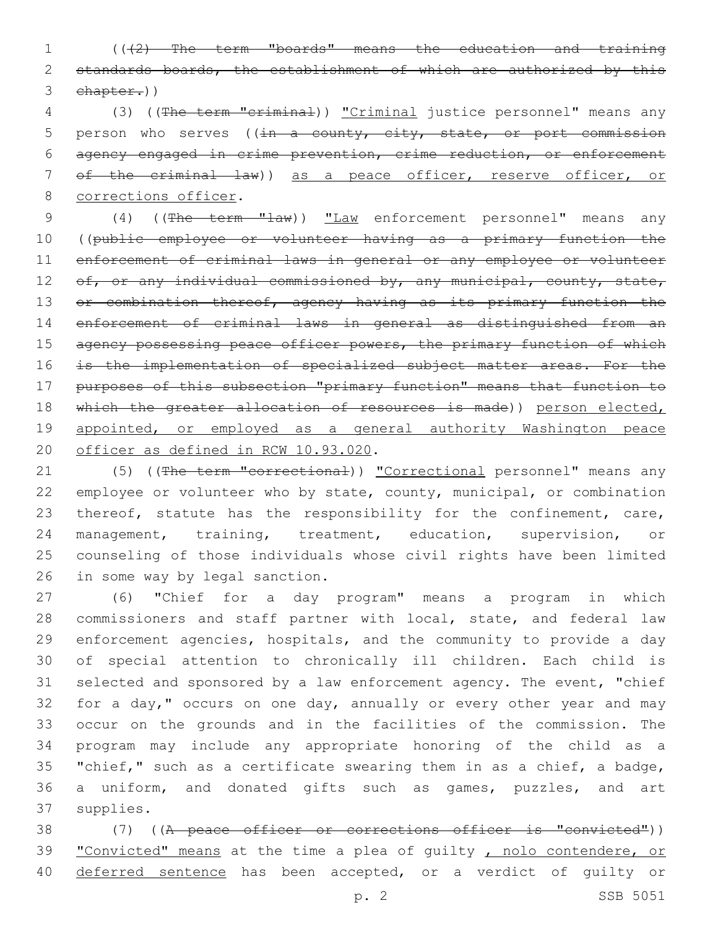1 (((2) The term "boards" means the education and training 2 standards boards, the establishment of which are authorized by this 3 chapter.))

4 (3) ((The term "criminal)) "Criminal justice personnel" means any 5 person who serves ( $(in - a$  county, city, state, or port commission 6 agency engaged in crime prevention, crime reduction, or enforcement 7 of the criminal law)) as a peace officer, reserve officer, or 8 corrections officer.

9 (4) ((The term "law)) "Law enforcement personnel" means any 10 ((public employee or volunteer having as a primary function the 11 enforcement of criminal laws in general or any employee or volunteer 12 of, or any individual commissioned by, any municipal, county, state, 13 or combination thereof, agency having as its primary function the 14 enforcement of criminal laws in general as distinguished from an 15 agency possessing peace officer powers, the primary function of which 16 is the implementation of specialized subject matter areas. For the 17 purposes of this subsection "primary function" means that function to 18 which the greater allocation of resources is made)) person elected, 19 appointed, or employed as a general authority Washington peace 20 officer as defined in RCW 10.93.020.

21 (5) ((The term "correctional)) "Correctional personnel" means any 22 employee or volunteer who by state, county, municipal, or combination 23 thereof, statute has the responsibility for the confinement, care, 24 management, training, treatment, education, supervision, or 25 counseling of those individuals whose civil rights have been limited 26 in some way by legal sanction.

 (6) "Chief for a day program" means a program in which commissioners and staff partner with local, state, and federal law enforcement agencies, hospitals, and the community to provide a day of special attention to chronically ill children. Each child is selected and sponsored by a law enforcement agency. The event, "chief 32 for a day," occurs on one day, annually or every other year and may occur on the grounds and in the facilities of the commission. The program may include any appropriate honoring of the child as a "chief," such as a certificate swearing them in as a chief, a badge, a uniform, and donated gifts such as games, puzzles, and art 37 supplies.

38 (7) ((A peace officer or corrections officer is "convicted")) 39 "Convicted" means at the time a plea of guilty, nolo contendere, or 40 deferred sentence has been accepted, or a verdict of quilty or

p. 2 SSB 5051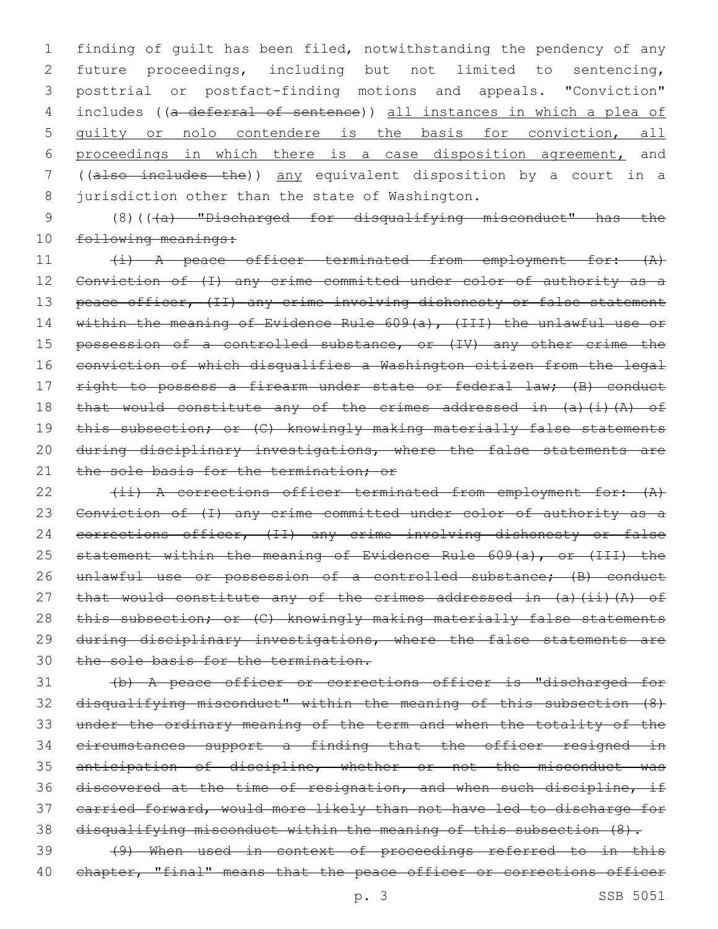finding of guilt has been filed, notwithstanding the pendency of any future proceedings, including but not limited to sentencing, posttrial or postfact-finding motions and appeals. "Conviction" 4 includes ((a deferral of sentence)) all instances in which a plea of guilty or nolo contendere is the basis for conviction, all proceedings in which there is a case disposition agreement, and ((also includes the)) any equivalent disposition by a court in a 8 jurisdiction other than the state of Washington.

9 (8)(((a) "Discharged for disqualifying misconduct" has the 10 following meanings:

11 (i) A peace officer terminated from employment for:  $(A)$ 12 Conviction of (I) any crime committed under color of authority as a 13 peace officer, (II) any crime involving dishonesty or false statement 14 within the meaning of Evidence Rule 609(a), (III) the unlawful use or 15 possession of a controlled substance, or (IV) any other crime the 16 conviction of which disqualifies a Washington citizen from the legal 17 right to possess a firearm under state or federal law; (B) conduct 18 that would constitute any of the crimes addressed in (a)(i)(A) of 19 this subsection; or (C) knowingly making materially false statements 20 during disciplinary investigations, where the false statements are 21 the sole basis for the termination: or

22 (ii) A corrections officer terminated from employment for: (A) 23 Conviction of (I) any crime committed under color of authority as a 24 corrections officer, (II) any crime involving dishonesty or false 25 statement within the meaning of Evidence Rule 609(a), or (III) the 26 unlawful use or possession of a controlled substance; (B) conduct 27 that would constitute any of the crimes addressed in (a)(ii)(A) of 28 this subsection; or (C) knowingly making materially false statements 29 during disciplinary investigations, where the false statements are 30 the sole basis for the termination.

 (b) A peace officer or corrections officer is "discharged for disqualifying misconduct" within the meaning of this subsection (8) under the ordinary meaning of the term and when the totality of the circumstances support a finding that the officer resigned in anticipation of discipline, whether or not the misconduct was discovered at the time of resignation, and when such discipline, if carried forward, would more likely than not have led to discharge for 38 disqualifying misconduct within the meaning of this subsection (8).

39 (9) When used in context of proceedings referred to in this 40 chapter, "final" means that the peace officer or corrections officer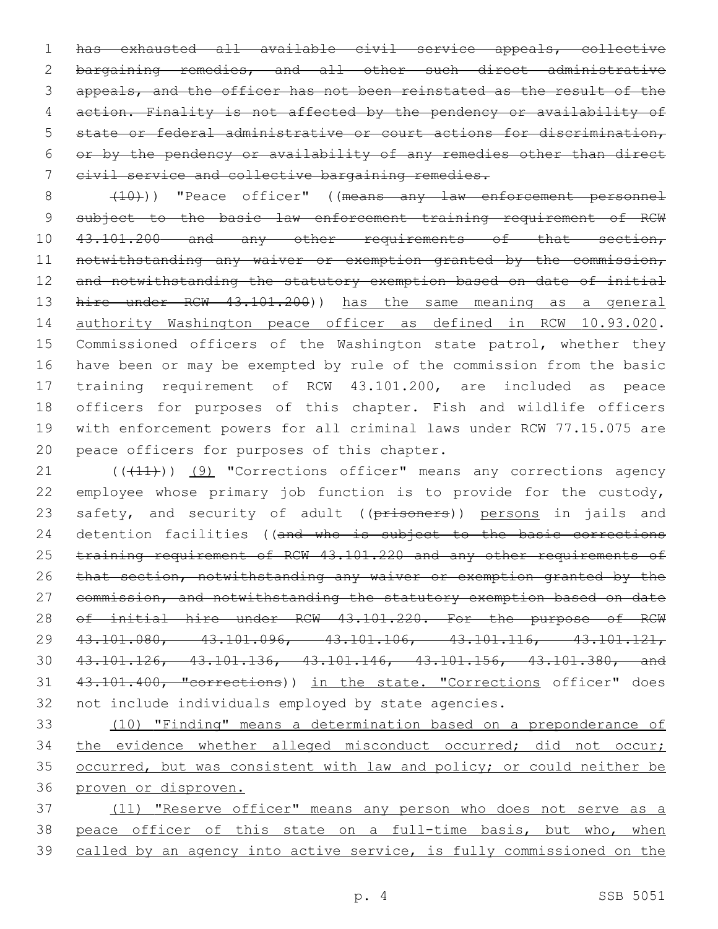has exhausted all available civil service appeals, collective bargaining remedies, and all other such direct administrative 3 appeals, and the officer has not been reinstated as the result of the action. Finality is not affected by the pendency or availability of state or federal administrative or court actions for discrimination, or by the pendency or availability of any remedies other than direct 7 eivil service and collective bargaining remedies.

8 (10))) "Peace officer" ((means any law enforcement personnel 9 subject to the basic law enforcement training requirement of RCW 10 43.101.200 and any other requirements of that section, 11 notwithstanding any waiver or exemption granted by the commission, 12 and notwithstanding the statutory exemption based on date of initial 13 hire under RCW 43.101.200)) has the same meaning as a general 14 authority Washington peace officer as defined in RCW 10.93.020. 15 Commissioned officers of the Washington state patrol, whether they 16 have been or may be exempted by rule of the commission from the basic 17 training requirement of RCW 43.101.200, are included as peace 18 officers for purposes of this chapter. Fish and wildlife officers 19 with enforcement powers for all criminal laws under RCW 77.15.075 are 20 peace officers for purposes of this chapter.

21 (((41))) (9) "Corrections officer" means any corrections agency 22 employee whose primary job function is to provide for the custody, 23 safety, and security of adult ((prisoners)) persons in jails and 24 detention facilities ((and who is subject to the basic corrections 25 training requirement of RCW 43.101.220 and any other requirements of 26 that section, notwithstanding any waiver or exemption granted by the 27 commission, and notwithstanding the statutory exemption based on date 28 of initial hire under RCW 43.101.220. For the purpose of RCW 29 43.101.080, 43.101.096, 43.101.106, 43.101.116, 43.101.121, 30 43.101.126, 43.101.136, 43.101.146, 43.101.156, 43.101.380, and 31 43.101.400, "corrections)) in the state. "Corrections officer" does 32 not include individuals employed by state agencies.

 (10) "Finding" means a determination based on a preponderance of 34 the evidence whether alleged misconduct occurred; did not occur; occurred, but was consistent with law and policy; or could neither be proven or disproven.

37 (11) "Reserve officer" means any person who does not serve as a 38 peace officer of this state on a full-time basis, but who, when 39 called by an agency into active service, is fully commissioned on the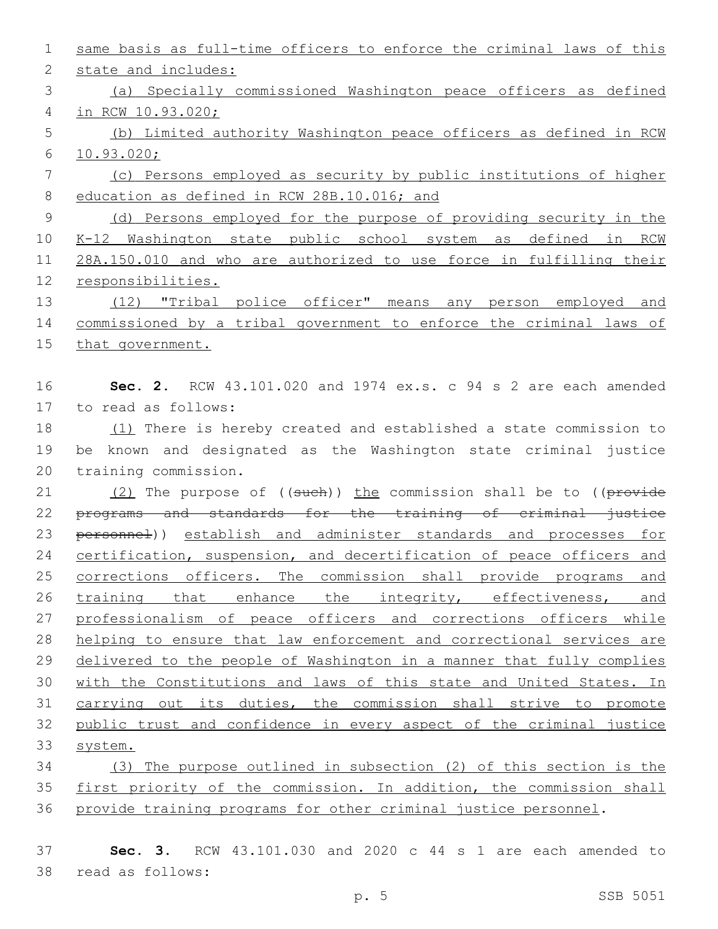| $\mathbf 1$    | same basis as full-time officers to enforce the criminal laws of this                   |
|----------------|-----------------------------------------------------------------------------------------|
| $\mathbf{2}$   | state and includes:                                                                     |
| 3              | (a) Specially commissioned Washington peace officers as defined                         |
| $\overline{4}$ | in RCW 10.93.020;                                                                       |
| 5              | (b) Limited authority Washington peace officers as defined in RCW                       |
| 6              | 10.93.020;                                                                              |
| 7              | (c) Persons employed as security by public institutions of higher                       |
| 8              | education as defined in RCW 28B.10.016; and                                             |
| $\mathsf 9$    | (d) Persons employed for the purpose of providing security in the                       |
| 10             | K-12 Washington state public school system as defined in RCW                            |
| 11             | 28A.150.010 and who are authorized to use force in fulfilling their                     |
| 12             | responsibilities.                                                                       |
| 13             | (12) "Tribal police officer" means any person employed and                              |
| 14             | commissioned by a tribal government to enforce the criminal laws of                     |
| 15             | that government.                                                                        |
|                |                                                                                         |
| 16             | <b>Sec. 2.</b> RCW $43.101.020$ and $1974$ ex.s. c 94 s 2 are each amended              |
| 17             | to read as follows:                                                                     |
| 18             | (1) There is hereby created and established a state commission to                       |
| 19             | be known and designated as the Washington state criminal justice                        |
| 20             | training commission.                                                                    |
| 21             | $(2)$ The purpose of $((\text{such})\,)$ the commission shall be to $((\text{prove})\)$ |
| 22             | programs and standards for the training of criminal justice                             |
| 23             | personnel)) establish and administer standards and processes for                        |
| 24             | certification, suspension, and decertification of peace officers and                    |
| 25             | corrections officers. The commission shall provide programs and                         |
| 26             | training that enhance the integrity, effectiveness, and                                 |
| 27             | professionalism of peace officers and corrections officers while                        |
| 28             | helping to ensure that law enforcement and correctional services are                    |
| 29             | delivered to the people of Washington in a manner that fully complies                   |
| 30             | with the Constitutions and laws of this state and United States. In                     |
| 31             | carrying out its duties, the commission shall strive to promote                         |
| 32             | public trust and confidence in every aspect of the criminal justice                     |
| 33             | system.                                                                                 |
| 34             | (3) The purpose outlined in subsection (2) of this section is the                       |
| 35             | first priority of the commission. In addition, the commission shall                     |
| 36             | provide training programs for other criminal justice personnel.                         |
|                |                                                                                         |
| 37             | RCW 43.101.030 and 2020 c 44 s 1 are each amended to<br>Sec. 3.                         |

read as follows:38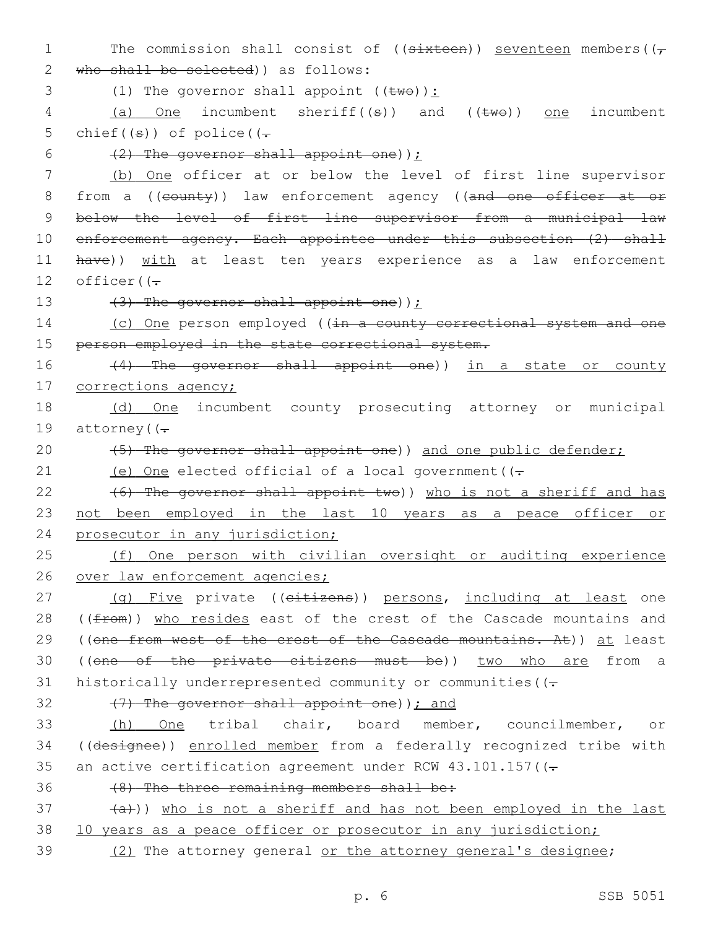1 The commission shall consist of (( $s$ ixteen)) seventeen members( $(\tau$ 2 who shall be selected) as follows: 3 (1) The governor shall appoint  $((\text{two}))$ : 4 (a) One incumbent sheriff((s)) and ((two)) one incumbent 5 chief( $(\theta)$ ) of police( $(-$ 6  $(2)$  The governor shall appoint one)); 7 (b) One officer at or below the level of first line supervisor 8 from a ((county)) law enforcement agency ((and one officer at or 9 below the level of first line supervisor from a municipal law 10 enforcement agency. Each appointee under this subsection (2) shall 11 have)) with at least ten years experience as a law enforcement 12 officer( $(-$ 13  $(3)$  The governor shall appoint one)); 14 (c) One person employed ((in a county correctional system and one 15 person employed in the state correctional system. 16 (4) The governor shall appoint one)) in a state or county 17 corrections agency; 18 (d) One incumbent county prosecuting attorney or municipal 19 attorney  $($   $($   $\div$ 20 (5) The governor shall appoint one)) and one public defender; 21 (e) One elected official of a local government  $(-$ 22 (6) The governor shall appoint two)) who is not a sheriff and has 23 not been employed in the last 10 years as a peace officer or 24 prosecutor in any jurisdiction; 25 (f) One person with civilian oversight or auditing experience 26 over law enforcement agencies; 27 (g) Five private ((eitizens)) persons, including at least one 28 ((from)) who resides east of the crest of the Cascade mountains and 29 ((one from west of the crest of the Cascade mountains. At)) at least 30 ((one of the private citizens must be)) two who are from a 31 historically underrepresented community or communities ( $(-$ 32  $(7)$  The governor shall appoint one)  $\int$  and 33 (h) One tribal chair, board member, councilmember, or 34 ((designee)) enrolled member from a federally recognized tribe with 35 an active certification agreement under RCW  $43.101.157$  ( $(-$ 36 (8) The three remaining members shall be:  $(a+1)$ ) who is not a sheriff and has not been employed in the last 38 10 years as a peace officer or prosecutor in any jurisdiction; 39 (2) The attorney general or the attorney general's designee;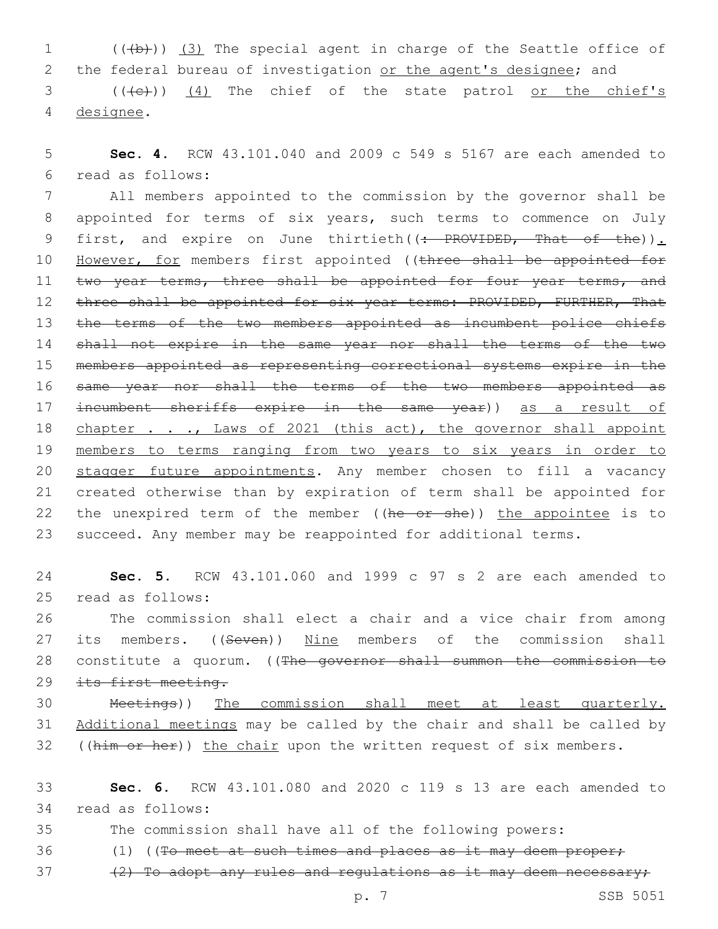1 (((b)) (3) The special agent in charge of the Seattle office of 2 the federal bureau of investigation or the agent's designee; and 3 (((e)) (4) The chief of the state patrol or the chief's 4 designee.

5 **Sec. 4.** RCW 43.101.040 and 2009 c 549 s 5167 are each amended to read as follows:6

7 All members appointed to the commission by the governor shall be 8 appointed for terms of six years, such terms to commence on July 9 first, and expire on June thirtieth((: PROVIDED, That of the)). 10 However, for members first appointed ((three shall be appointed for 11 two year terms, three shall be appointed for four year terms, and 12 three shall be appointed for six year terms: PROVIDED, FURTHER, That 13 the terms of the two members appointed as incumbent police chiefs 14 shall not expire in the same year nor shall the terms of the two 15 members appointed as representing correctional systems expire in the 16 same year nor shall the terms of the two members appointed as 17 incumbent sheriffs expire in the same year)) as a result of 18 chapter . . ., Laws of 2021 (this act), the governor shall appoint 19 members to terms ranging from two years to six years in order to 20 stagger future appointments. Any member chosen to fill a vacancy 21 created otherwise than by expiration of term shall be appointed for 22 the unexpired term of the member ((he or she)) the appointee is to 23 succeed. Any member may be reappointed for additional terms.

24 **Sec. 5.** RCW 43.101.060 and 1999 c 97 s 2 are each amended to 25 read as follows:

26 The commission shall elect a chair and a vice chair from among 27 its members. ((Seven)) Nine members of the commission shall 28 constitute a quorum. ((The governor shall summon the commission to 29 its first meeting.

30 Meetings)) The commission shall meet at least quarterly. 31 Additional meetings may be called by the chair and shall be called by 32 ((him or her)) the chair upon the written request of six members.

33 **Sec. 6.** RCW 43.101.080 and 2020 c 119 s 13 are each amended to read as follows:34

35 The commission shall have all of the following powers:

- 36 (1) ((To meet at such times and places as it may deem proper;
- $37$  (2) To adopt any rules and regulations as it may deem necessary;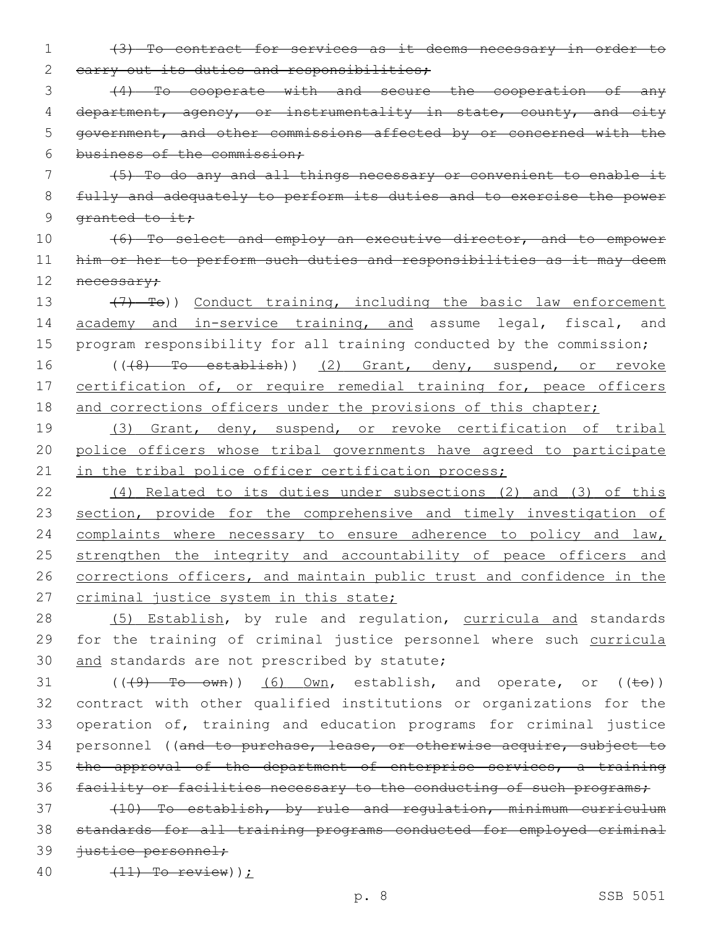1 (3) To contract for services as it deems necessary in order to 2 carry out its duties and responsibilities;

3 (4) To cooperate with and secure the cooperation of any 4 department, agency, or instrumentality in state, county, and city 5 government, and other commissions affected by or concerned with the 6 business of the commission;

7 (5) To do any and all things necessary or convenient to enable it 8 fully and adequately to perform its duties and to exercise the power 9 granted to it;

10 (6) To select and employ an executive director, and to empower 11 him or her to perform such duties and responsibilities as it may deem 12 necessary;

13 (7) To)) Conduct training, including the basic law enforcement 14 academy and in-service training, and assume legal, fiscal, and 15 program responsibility for all training conducted by the commission; 16 (((8) To establish)) (2) Grant, deny, suspend, or revoke 17 certification of, or require remedial training for, peace officers

18 and corrections officers under the provisions of this chapter;

19 (3) Grant, deny, suspend, or revoke certification of tribal 20 police officers whose tribal governments have agreed to participate 21 in the tribal police officer certification process;

22 (4) Related to its duties under subsections (2) and (3) of this 23 section, provide for the comprehensive and timely investigation of 24 complaints where necessary to ensure adherence to policy and law, 25 strengthen the integrity and accountability of peace officers and 26 corrections officers, and maintain public trust and confidence in the 27 criminal justice system in this state;

28 (5) Establish, by rule and regulation, curricula and standards 29 for the training of criminal justice personnel where such curricula 30 and standards are not prescribed by statute;

31  $((49)$  To own)) (6) Own, establish, and operate, or  $((\pm e))$ 32 contract with other qualified institutions or organizations for the 33 operation of, training and education programs for criminal justice 34 personnel ((and to purchase, lease, or otherwise acquire, subject to 35 the approval of the department of enterprise services, a training 36 facility or facilities necessary to the conducting of such programs;

37 (10) To establish, by rule and regulation, minimum curriculum 38 standards for all training programs conducted for employed criminal 39 justice personnel;

40 (11) To review));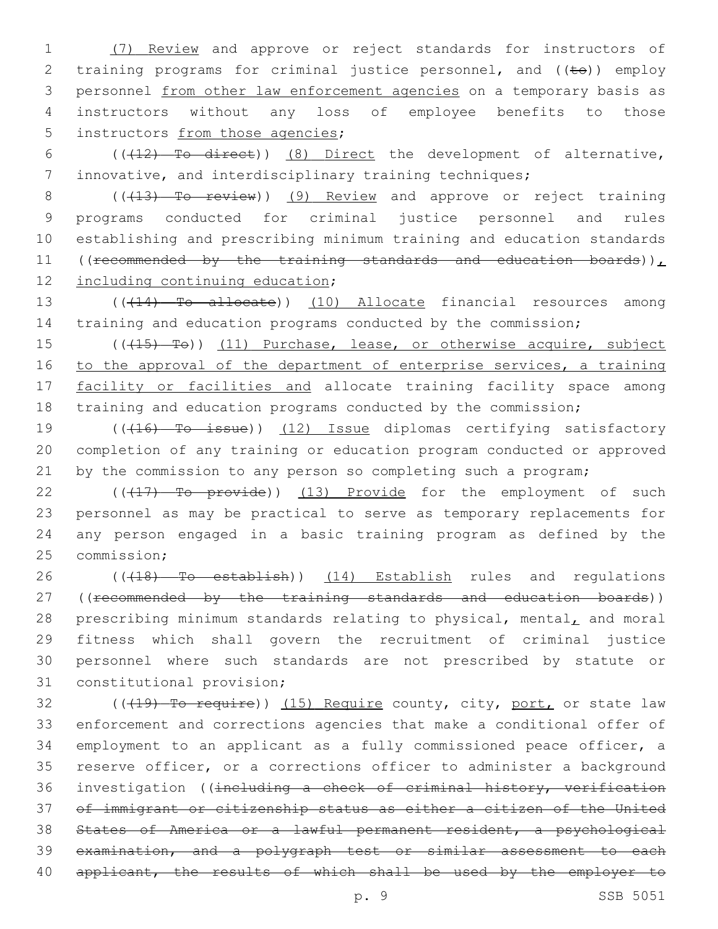1 (7) Review and approve or reject standards for instructors of 2 training programs for criminal justice personnel, and  $((\pm e))$  employ 3 personnel from other law enforcement agencies on a temporary basis as 4 instructors without any loss of employee benefits to those 5 instructors from those agencies;

6 (((12) To direct)) (8) Direct the development of alternative, 7 innovative, and interdisciplinary training techniques;

8 (( $(13)$  To review)) (9) Review and approve or reject training 9 programs conducted for criminal justice personnel and rules 10 establishing and prescribing minimum training and education standards 11 ((recommended by the training standards and education boards)), 12 <u>including continuing educat</u>ion;

13 ((+14) To allocate)) (10) Allocate financial resources among 14 training and education programs conducted by the commission;

15 (((415) Te)) (11) Purchase, lease, or otherwise acquire, subject 16 to the approval of the department of enterprise services, a training 17 facility or facilities and allocate training facility space among 18 training and education programs conducted by the commission;

19 (((16) To issue)) (12) Issue diplomas certifying satisfactory 20 completion of any training or education program conducted or approved 21 by the commission to any person so completing such a program;

22 ((417) To provide)) (13) Provide for the employment of such 23 personnel as may be practical to serve as temporary replacements for 24 any person engaged in a basic training program as defined by the 25 commission;

26 ((418) To establish)) (14) Establish rules and regulations 27 ((recommended by the training standards and education boards)) 28 prescribing minimum standards relating to physical, mental, and moral 29 fitness which shall govern the recruitment of criminal justice 30 personnel where such standards are not prescribed by statute or 31 constitutional provision;

32 ((419) To require)) (15) Require county, city, port, or state law enforcement and corrections agencies that make a conditional offer of employment to an applicant as a fully commissioned peace officer, a reserve officer, or a corrections officer to administer a background investigation ((including a check of criminal history, verification of immigrant or citizenship status as either a citizen of the United States of America or a lawful permanent resident, a psychological examination, and a polygraph test or similar assessment to each 40 applicant, the results of which shall be used by the employer to

p. 9 SSB 5051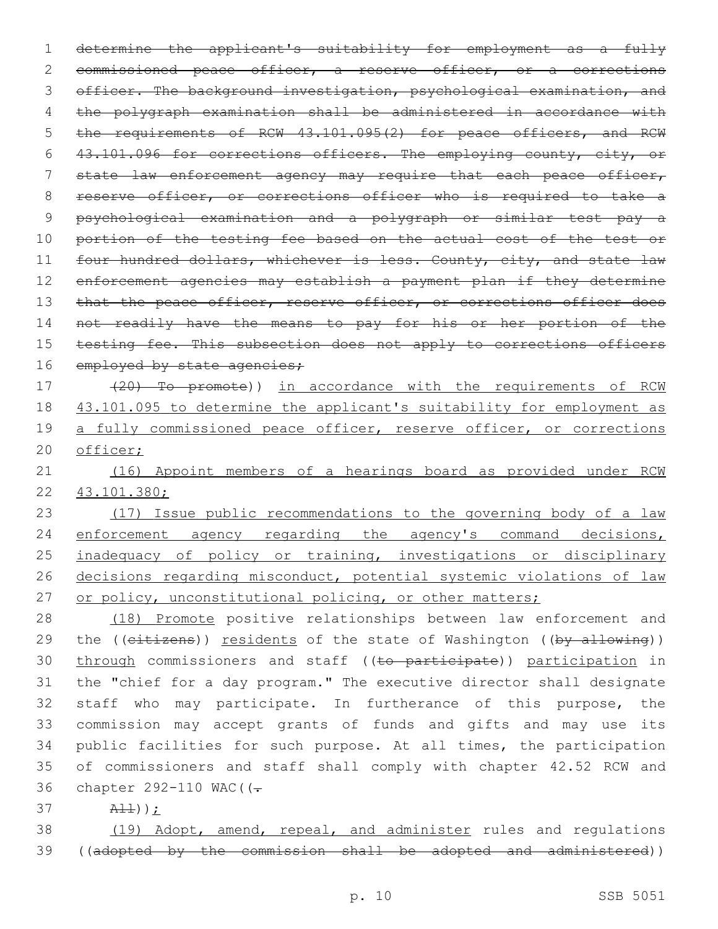1 determine the applicant's suitability for employment as a fully 2 commissioned peace officer, a reserve officer, or a corrections 3 officer. The background investigation, psychological examination, and 4 the polygraph examination shall be administered in accordance with 5 the requirements of RCW 43.101.095(2) for peace officers, and RCW 6 43.101.096 for corrections officers. The employing county, city, or 7 state law enforcement agency may require that each peace officer, 8 reserve officer, or corrections officer who is required to take a 9 psychological examination and a polygraph or similar test pay a 10 portion of the testing fee based on the actual cost of the test or 11 four hundred dollars, whichever is less. County, city, and state law 12 enforcement agencies may establish a payment plan if they determine 13 that the peace officer, reserve officer, or corrections officer does 14 not readily have the means to pay for his or her portion of the 15 testing fee. This subsection does not apply to corrections officers 16 employed by state agencies;

17 (20) To promote)) in accordance with the requirements of RCW 18 43.101.095 to determine the applicant's suitability for employment as 19 a fully commissioned peace officer, reserve officer, or corrections 20 officer;

21 (16) Appoint members of a hearings board as provided under RCW 22 43.101.380;

23 (17) Issue public recommendations to the governing body of a law 24 enforcement agency regarding the agency's command decisions, 25 inadequacy of policy or training, investigations or disciplinary 26 decisions regarding misconduct, potential systemic violations of law 27 or policy, unconstitutional policing, or other matters;

 (18) Promote positive relationships between law enforcement and 29 the ((citizens)) residents of the state of Washington ((by allowing)) 30 through commissioners and staff ((to participate)) participation in the "chief for a day program." The executive director shall designate staff who may participate. In furtherance of this purpose, the commission may accept grants of funds and gifts and may use its public facilities for such purpose. At all times, the participation of commissioners and staff shall comply with chapter 42.52 RCW and 36 chapter 292-110 WAC ( $\left(-\right)$ 

37 All));

38 (19) Adopt, amend, repeal, and administer rules and regulations 39 ((adopted by the commission shall be adopted and administered))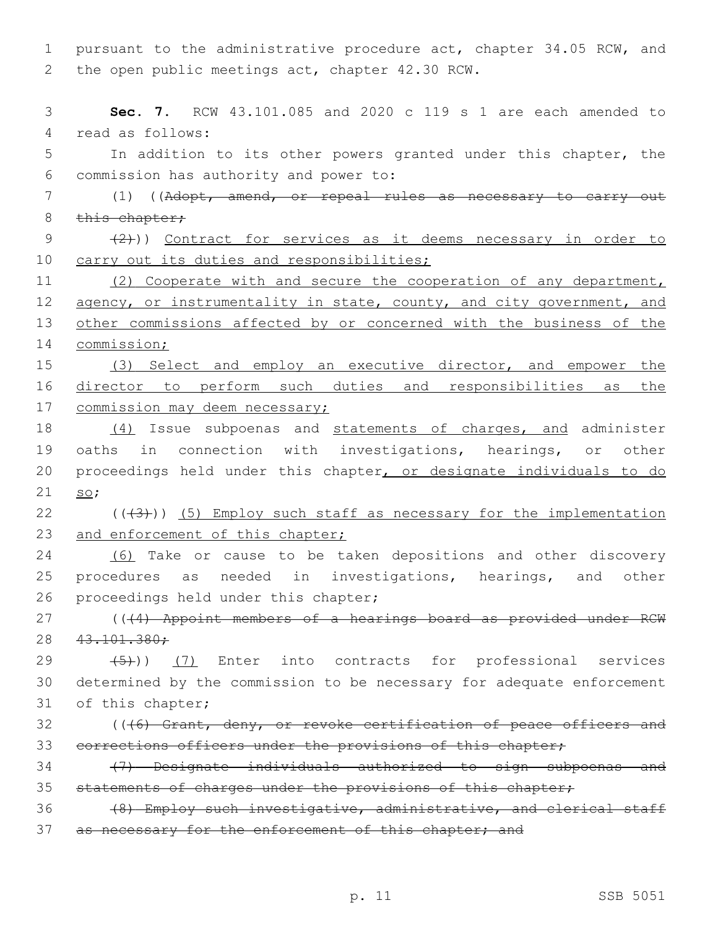1 pursuant to the administrative procedure act, chapter 34.05 RCW, and 2 the open public meetings act, chapter 42.30 RCW.

3 **Sec. 7.** RCW 43.101.085 and 2020 c 119 s 1 are each amended to 4 read as follows: 5 In addition to its other powers granted under this chapter, the commission has authority and power to:6 7 (1) ((Adopt, amend, or repeal rules as necessary to carry out  $8$  this chapter; 9 (2)) Contract for services as it deems necessary in order to 10 carry out its duties and responsibilities; 11 (2) Cooperate with and secure the cooperation of any department, 12 agency, or instrumentality in state, county, and city government, and 13 other commissions affected by or concerned with the business of the 14 commission; 15 (3) Select and employ an executive director, and empower the 16 director to perform such duties and responsibilities as the 17 commission may deem necessary; 18 (4) Issue subpoenas and statements of charges, and administer 19 oaths in connection with investigations, hearings, or other 20 proceedings held under this chapter, or designate individuals to do 21 so;  $22$  ( $(\overline{3})$ ) (5) Employ such staff as necessary for the implementation 23 and enforcement of this chapter; 24 (6) Take or cause to be taken depositions and other discovery 25 procedures as needed in investigations, hearings, and other 26 proceedings held under this chapter; 27 (((4) Appoint members of a hearings board as provided under RCW 28 43.101.380;  $(29 \t (5))$   $(7)$  Enter into contracts for professional services 30 determined by the commission to be necessary for adequate enforcement 31 of this chapter; 32 ((46) Grant, deny, or revoke certification of peace officers and 33 corrections officers under the provisions of this chapter; 34 (7) Designate individuals authorized to sign subpoenas and 35 statements of charges under the provisions of this chapter; 36 (8) Employ such investigative, administrative, and clerical staff 37 as necessary for the enforcement of this chapter; and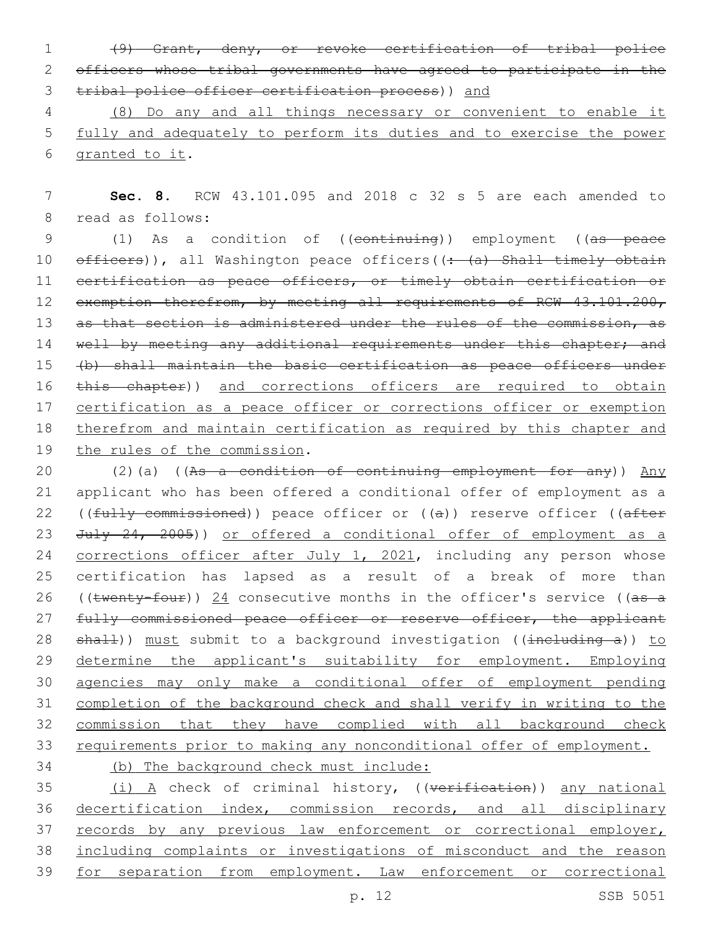1 (9) Grant, deny, or revoke certification of tribal police 2 officers whose tribal governments have agreed to participate in the 3 tribal police officer certification process)) and

4 (8) Do any and all things necessary or convenient to enable it 5 fully and adequately to perform its duties and to exercise the power 6 granted to it.

7 **Sec. 8.** RCW 43.101.095 and 2018 c 32 s 5 are each amended to 8 read as follows:

9 (1) As a condition of ((continuing)) employment ((as peace 10 officers)), all Washington peace officers((: (a) Shall timely obtain 11 certification as peace officers, or timely obtain certification or 12 exemption therefrom, by meeting all requirements of RCW 43.101.200, 13 as that section is administered under the rules of the commission, as 14 well by meeting any additional requirements under this chapter; and 15 (b) shall maintain the basic certification as peace officers under 16 this chapter)) and corrections officers are required to obtain 17 certification as a peace officer or corrections officer or exemption 18 therefrom and maintain certification as required by this chapter and 19 the rules of the commission.

20 (2)(a) ((As a condition of continuing employment for any)) Any 21 applicant who has been offered a conditional offer of employment as a 22 (( $f \text{ully commissioned}$ )) peace officer or ( $(a)$ ) reserve officer ( $a \text{fter}$ 23 July 24, 2005)) or offered a conditional offer of employment as a 24 corrections officer after July 1, 2021, including any person whose 25 certification has lapsed as a result of a break of more than 26 ((twenty-four)) 24 consecutive months in the officer's service ((as a 27 fully commissioned peace officer or reserve officer, the applicant 28 shall)) must submit to a background investigation ((including a)) to 29 determine the applicant's suitability for employment. Employing 30 agencies may only make a conditional offer of employment pending 31 completion of the background check and shall verify in writing to the 32 commission that they have complied with all background check 33 requirements prior to making any nonconditional offer of employment. 34 (b) The background check must include:

35 (i) A check of criminal history, ((verification)) any national 36 decertification index, commission records, and all disciplinary 37 records by any previous law enforcement or correctional employer, 38 including complaints or investigations of misconduct and the reason 39 for separation from employment. Law enforcement or correctional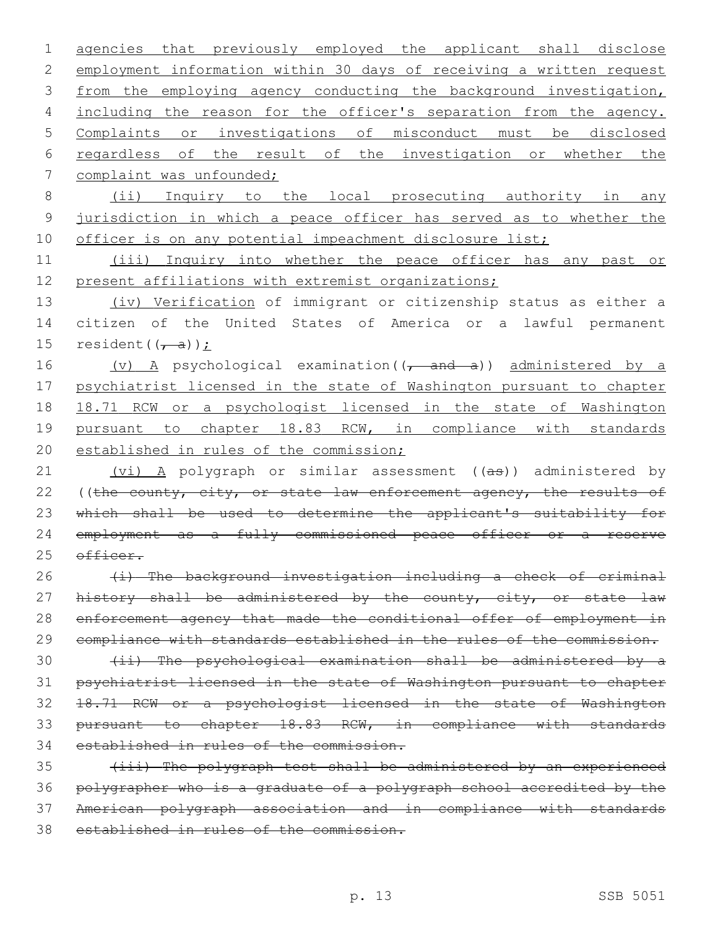1 agencies that previously employed the applicant shall disclose 2 employment information within 30 days of receiving a written request 3 from the employing agency conducting the background investigation, 4 including the reason for the officer's separation from the agency. 5 Complaints or investigations of misconduct must be disclosed 6 regardless of the result of the investigation or whether the 7 complaint was unfounded; 8 (ii) Inquiry to the local prosecuting authority in any 9 jurisdiction in which a peace officer has served as to whether the 10 officer is on any potential impeachment disclosure list; 11 (iii) Inquiry into whether the peace officer has any past or 12 present affiliations with extremist organizations; 13 (iv) Verification of immigrant or citizenship status as either a 14 citizen of the United States of America or a lawful permanent 15 resident $((\overline{f}, a))$  : 16 (v) A psychological examination((, and a)) administered by a 17 psychiatrist licensed in the state of Washington pursuant to chapter 18 18.71 RCW or a psychologist licensed in the state of Washington 19 pursuant to chapter 18.83 RCW, in compliance with standards 20 established in rules of the commission; 21 (vi) A polygraph or similar assessment ((as)) administered by 22 ((the county, city, or state law enforcement agency, the results of 23 which shall be used to determine the applicant's suitability for 24 employment as a fully commissioned peace officer or a reserve 25 officer.  $26$  (i) The background investigation including a check of criminal 27 history shall be administered by the county, city, or state law 28 enforcement agency that made the conditional offer of employment in 29 compliance with standards established in the rules of the commission. 30 (ii) The psychological examination shall be administered by a 31 psychiatrist licensed in the state of Washington pursuant to chapter 32 18.71 RCW or a psychologist licensed in the state of Washington 33 pursuant to chapter 18.83 RCW, in compliance with standards 34 established in rules of the commission. 35 (iii) The polygraph test shall be administered by an experienced 36 polygrapher who is a graduate of a polygraph school accredited by the 37 American polygraph association and in compliance with standards 38 established in rules of the commission.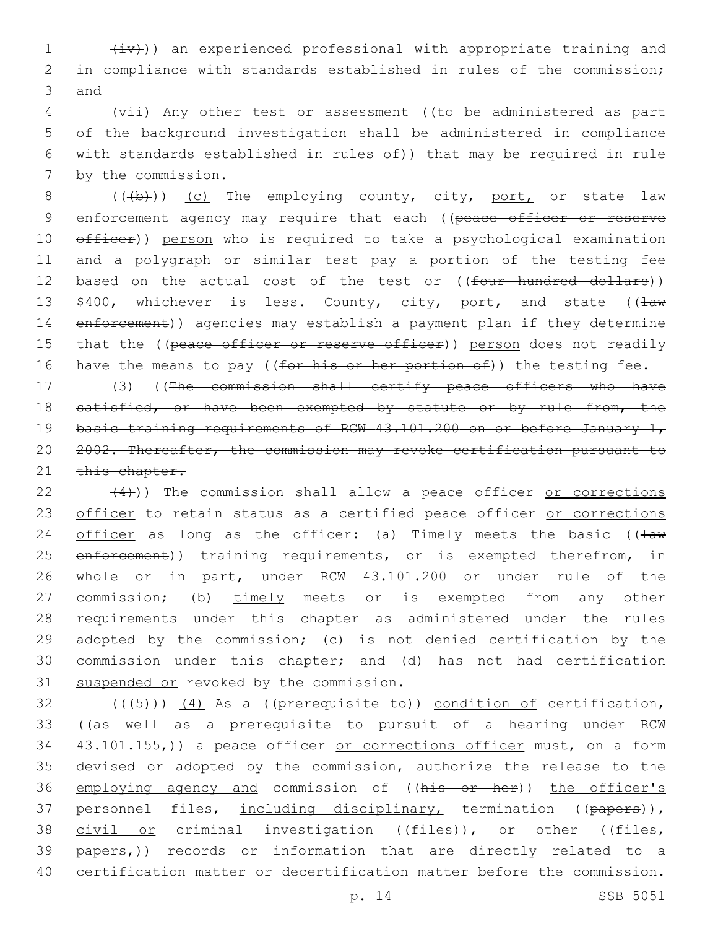1 (iv))) an experienced professional with appropriate training and 2 in compliance with standards established in rules of the commission; 3 and

4 (vii) Any other test or assessment ((to be administered as part 5 of the background investigation shall be administered in compliance 6 with standards established in rules of)) that may be required in rule 7 by the commission.

8  $((+b))$  (c) The employing county, city, port, or state law 9 enforcement agency may require that each ((peace officer or reserve 10  $\theta$ fficer)) person who is required to take a psychological examination 11 and a polygraph or similar test pay a portion of the testing fee 12 based on the actual cost of the test or ((four hundred dollars)) 13 \$400, whichever is less. County, city, port, and state (( $\pm$ aw 14 enforcement)) agencies may establish a payment plan if they determine 15 that the ((peace officer or reserve officer)) person does not readily 16 have the means to pay ((for his or her portion of)) the testing fee.

17 (3) ((The commission shall certify peace officers who have 18 satisfied, or have been exempted by statute or by rule from, the 19 basic training requirements of RCW 43.101.200 on or before January 1, 20 2002. Thereafter, the commission may revoke certification pursuant to 21 this chapter.

 $(4)$ )) The commission shall allow a peace officer or corrections 23 officer to retain status as a certified peace officer or corrections 24 officer as long as the officer: (a) Timely meets the basic ( $\frac{1}{2}$ 25 enforcement)) training requirements, or is exempted therefrom, in 26 whole or in part, under RCW 43.101.200 or under rule of the 27 commission; (b) timely meets or is exempted from any other 28 requirements under this chapter as administered under the rules 29 adopted by the commission; (c) is not denied certification by the 30 commission under this chapter; and (d) has not had certification 31 suspended or revoked by the commission.

 $(1, 5)$  (((45))) (4) As a ((prerequisite to)) condition of certification, 33 ((as well as a prerequisite to pursuit of a hearing under RCW  $34$   $43.101.155<sub>r</sub>$ )) a peace officer or corrections officer must, on a form 35 devised or adopted by the commission, authorize the release to the 36 employing agency and commission of ((his or her)) the officer's 37 personnel files, including disciplinary, termination ((papers)), 38 civil or criminal investigation (( $f$ iles)), or other (( $f$ iles,  $39$   $\frac{1}{2}$   $\frac{1}{2}$   $\frac{1}{2}$   $\frac{1}{2}$   $\frac{1}{2}$   $\frac{1}{2}$   $\frac{1}{2}$   $\frac{1}{2}$   $\frac{1}{2}$   $\frac{1}{2}$   $\frac{1}{2}$   $\frac{1}{2}$   $\frac{1}{2}$   $\frac{1}{2}$   $\frac{1}{2}$   $\frac{1}{2}$   $\frac{1}{2}$   $\frac{1}{2}$   $\frac{1}{2}$   $\frac{1}{2}$   $\frac{1}{2}$   $\frac{1}{$ 40 certification matter or decertification matter before the commission.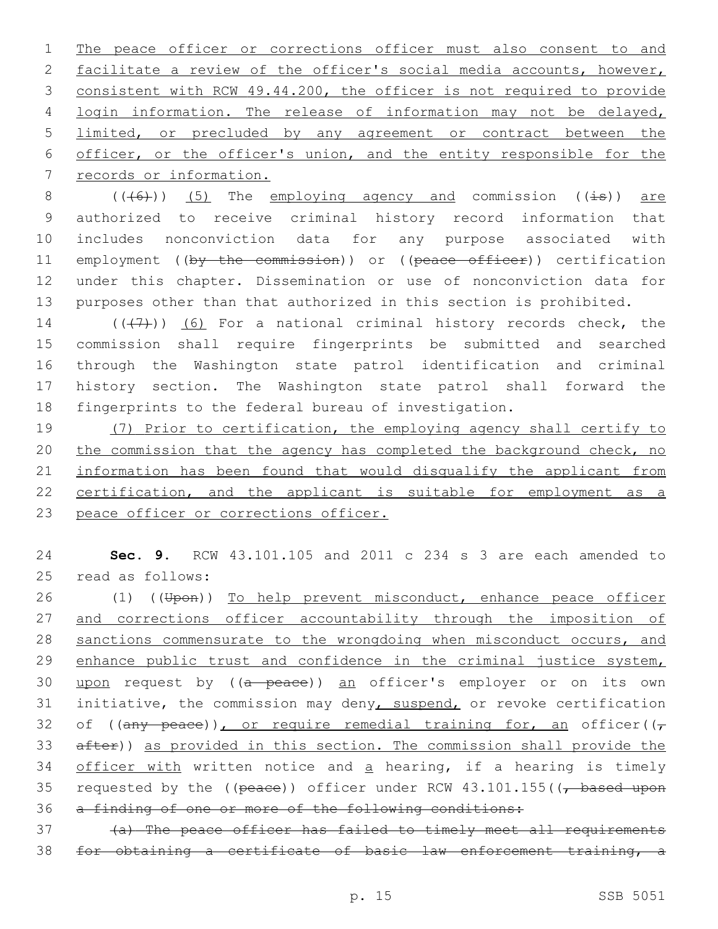1 The peace officer or corrections officer must also consent to and 2 facilitate a review of the officer's social media accounts, however, 3 consistent with RCW 49.44.200, the officer is not required to provide 4 login information. The release of information may not be delayed, 5 limited, or precluded by any agreement or contract between the 6 officer, or the officer's union, and the entity responsible for the 7 records or information.

 $((+6))$  (5) The employing agency and commission ( $(\pm s)$ ) are authorized to receive criminal history record information that includes nonconviction data for any purpose associated with 11 employment ((by the commission)) or ((peace officer)) certification under this chapter. Dissemination or use of nonconviction data for purposes other than that authorized in this section is prohibited.

 ( $(\overline{+7})$ ) (6) For a national criminal history records check, the commission shall require fingerprints be submitted and searched through the Washington state patrol identification and criminal history section. The Washington state patrol shall forward the fingerprints to the federal bureau of investigation.

19 (7) Prior to certification, the employing agency shall certify to 20 the commission that the agency has completed the background check, no 21 information has been found that would disqualify the applicant from 22 certification, and the applicant is suitable for employment as a 23 peace officer or corrections officer.

24 **Sec. 9.** RCW 43.101.105 and 2011 c 234 s 3 are each amended to 25 read as follows:

26 (1) ((Upon)) To help prevent misconduct, enhance peace officer 27 and corrections officer accountability through the imposition of 28 sanctions commensurate to the wrongdoing when misconduct occurs, and 29 enhance public trust and confidence in the criminal justice system, 30 upon request by ((a peace)) an officer's employer or on its own 31 initiative, the commission may deny, suspend, or revoke certification 32 of ((any peace)), or require remedial training for, an officer(( $\tau$ 33 after)) as provided in this section. The commission shall provide the 34 officer with written notice and a hearing, if a hearing is timely 35 requested by the (( $peace$ )) officer under RCW  $43.101.155$  ( $\sqrt{p}$  based upon 36 a finding of one or more of the following conditions:

37 (a) The peace officer has failed to timely meet all requirements 38 for obtaining a certificate of basic law enforcement training, a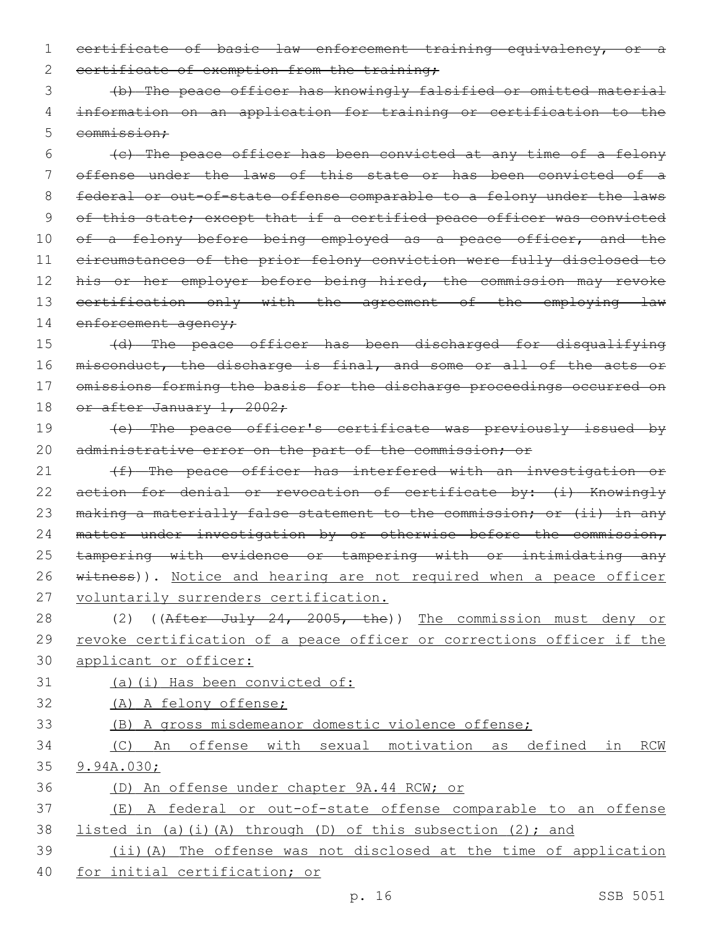1 certificate of basic law enforcement training equivalency, or a 2 certificate of exemption from the training;

3 (b) The peace officer has knowingly falsified or omitted material 4 information on an application for training or certification to the 5 commission:

6 (c) The peace officer has been convicted at any time of a felony 7 offense under the laws of this state or has been convicted of a 8 federal or out-of-state offense comparable to a felony under the laws 9 of this state; except that if a certified peace officer was convicted 10 of a felony before being employed as a peace officer, and the 11 circumstances of the prior felony conviction were fully disclosed to 12 his or her employer before being hired, the commission may revoke 13 certification only with the agreement of the employing law 14 enforcement agency;

15 (d) The peace officer has been discharged for disqualifying 16 misconduct, the discharge is final, and some or all of the acts or 17 omissions forming the basis for the discharge proceedings occurred on 18 or after January 1, 2002;

19 (e) The peace officer's certificate was previously issued by 20 administrative error on the part of the commission; or

21 (f) The peace officer has interfered with an investigation or 22 action for denial or revocation of certificate by: (i) Knowingly 23 making a materially false statement to the commission; or (ii) in any 24 matter under investigation by or otherwise before the commission, 25 tampering with evidence or tampering with or intimidating any 26 witness)). Notice and hearing are not required when a peace officer 27 voluntarily surrenders certification.

28 (2) ((After July 24, 2005, the)) The commission must deny or 29 revoke certification of a peace officer or corrections officer if the 30 applicant or officer:

31 (a)(i) Has been convicted of: 32 (A) A felony offense; 33 (B) A gross misdemeanor domestic violence offense;

34 (C) An offense with sexual motivation as defined in RCW

- 35 9.94A.030;
- 36 (D) An offense under chapter 9A.44 RCW; or

37 (E) A federal or out-of-state offense comparable to an offense 38 listed in (a)(i)(A) through (D) of this subsection (2); and

39 (ii)(A) The offense was not disclosed at the time of application 40 for initial certification; or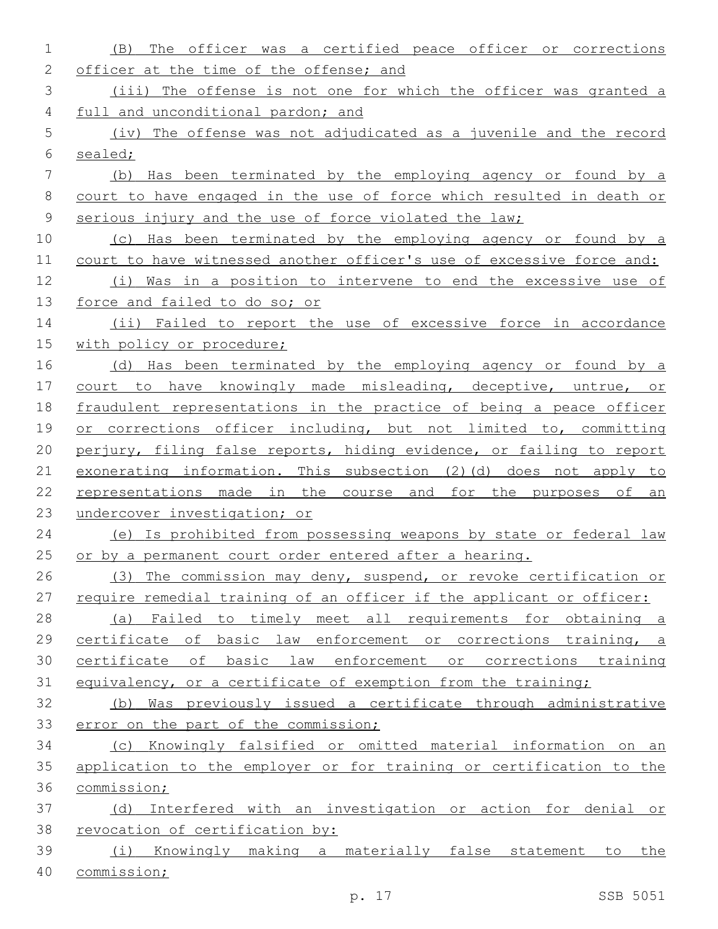| 1           | The officer was a certified peace officer or corrections<br>(B)       |
|-------------|-----------------------------------------------------------------------|
| 2           | officer at the time of the offense; and                               |
| 3           | (iii) The offense is not one for which the officer was granted a      |
| 4           | full and unconditional pardon; and                                    |
| 5           | (iv) The offense was not adjudicated as a juvenile and the record     |
| 6           | sealed;                                                               |
| 7           | (b) Has been terminated by the employing agency or found by a         |
| 8           | court to have engaged in the use of force which resulted in death or  |
| $\mathsf 9$ | serious injury and the use of force violated the law;                 |
| 10          | (c) Has been terminated by the employing agency or found by a         |
| 11          | court to have witnessed another officer's use of excessive force and: |
| 12          | Was in a position to intervene to end the excessive use of<br>(i)     |
| 13          | force and failed to do so; or                                         |
| 14          | (ii) Failed to report the use of excessive force in accordance        |
| 15          | with policy or procedure;                                             |
| 16          | (d) Has been terminated by the employing agency or found by a         |
| 17          | court to have knowingly made misleading, deceptive, untrue, or        |
| 18          | fraudulent representations in the practice of being a peace officer   |
| 19          | or corrections officer including, but not limited to, committing      |
| 20          | perjury, filing false reports, hiding evidence, or failing to report  |
| 21          | exonerating information. This subsection (2) (d) does not apply to    |
| 22          | representations made in the course and for the purposes of<br>an      |
| 23          | undercover investigation; or                                          |
| 24          | (e) Is prohibited from possessing weapons by state or federal law     |
| 25          | or by a permanent court order entered after a hearing.                |
| 26          | (3) The commission may deny, suspend, or revoke certification or      |
| 27          | require remedial training of an officer if the applicant or officer:  |
| 28          | (a) Failed to timely meet all requirements for obtaining a            |
| 29          | certificate of basic law enforcement or corrections training, a       |
| 30          | certificate of basic law enforcement or corrections training          |
| 31          | equivalency, or a certificate of exemption from the training;         |
| 32          | (b) Was previously issued a certificate through administrative        |
| 33          | error on the part of the commission;                                  |
| 34          | (c) Knowingly falsified or omitted material information on an         |
| 35          | application to the employer or for training or certification to the   |
| 36          | commission;                                                           |
| 37          | (d) Interfered with an investigation or action for denial or          |
| 38          | revocation of certification by:                                       |
| 39          | (i) Knowingly making a materially false statement to the              |
| 40          | commission;                                                           |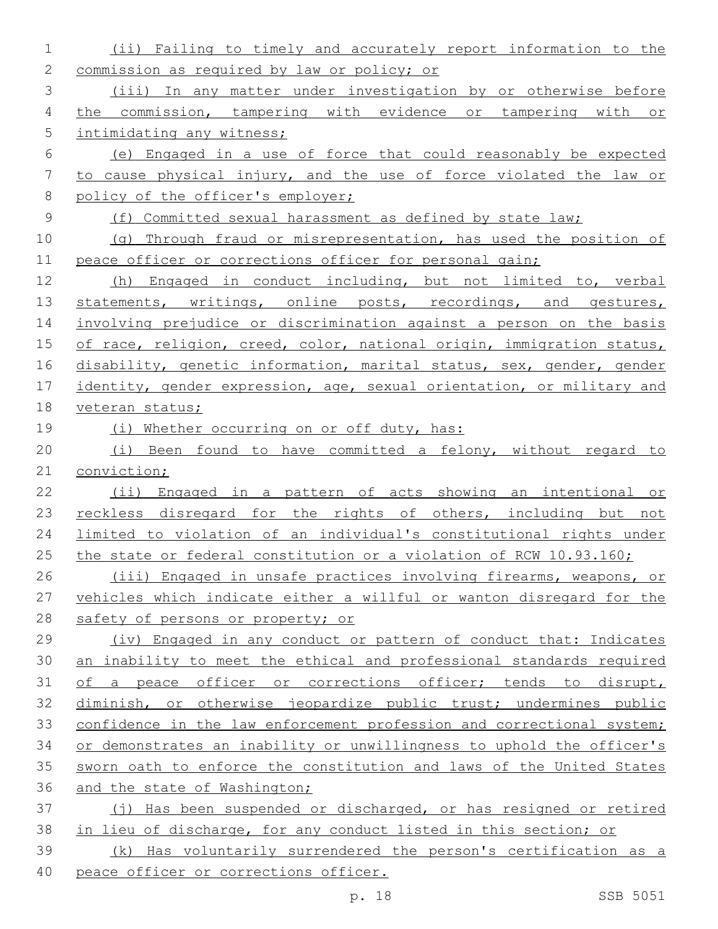(ii) Failing to timely and accurately report information to the commission as required by law or policy; or (iii) In any matter under investigation by or otherwise before the commission, tampering with evidence or tampering with or intimidating any witness; (e) Engaged in a use of force that could reasonably be expected to cause physical injury, and the use of force violated the law or 8 policy of the officer's employer; (f) Committed sexual harassment as defined by state law; (g) Through fraud or misrepresentation, has used the position of 11 peace officer or corrections officer for personal gain: (h) Engaged in conduct including, but not limited to, verbal 13 statements, writings, online posts, recordings, and gestures, involving prejudice or discrimination against a person on the basis 15 of race, religion, creed, color, national origin, immigration status, 16 disability, genetic information, marital status, sex, gender, gender identity, gender expression, age, sexual orientation, or military and veteran status; (i) Whether occurring on or off duty, has: (i) Been found to have committed a felony, without regard to conviction; (ii) Engaged in a pattern of acts showing an intentional or 23 reckless disregard for the rights of others, including but not limited to violation of an individual's constitutional rights under 25 the state or federal constitution or a violation of RCW 10.93.160; (iii) Engaged in unsafe practices involving firearms, weapons, or vehicles which indicate either a willful or wanton disregard for the 28 safety of persons or property; or (iv) Engaged in any conduct or pattern of conduct that: Indicates an inability to meet the ethical and professional standards required of a peace officer or corrections officer; tends to disrupt, 32 diminish, or otherwise jeopardize public trust; undermines public 33 confidence in the law enforcement profession and correctional system; or demonstrates an inability or unwillingness to uphold the officer's sworn oath to enforce the constitution and laws of the United States 36 and the state of Washington; (j) Has been suspended or discharged, or has resigned or retired in lieu of discharge, for any conduct listed in this section; or (k) Has voluntarily surrendered the person's certification as a 40 peace officer or corrections officer.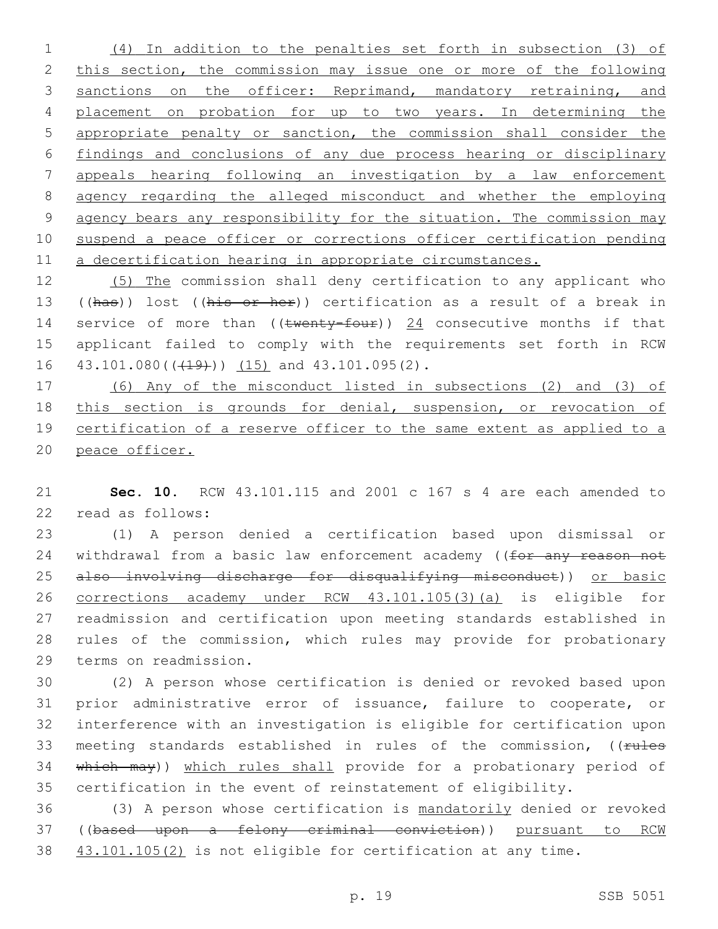(4) In addition to the penalties set forth in subsection (3) of 2 this section, the commission may issue one or more of the following 3 sanctions on the officer: Reprimand, mandatory retraining, and placement on probation for up to two years. In determining the appropriate penalty or sanction, the commission shall consider the findings and conclusions of any due process hearing or disciplinary appeals hearing following an investigation by a law enforcement agency regarding the alleged misconduct and whether the employing agency bears any responsibility for the situation. The commission may suspend a peace officer or corrections officer certification pending a decertification hearing in appropriate circumstances.

 (5) The commission shall deny certification to any applicant who 13 ((has)) lost ((his or her)) certification as a result of a break in 14 service of more than ((twenty-four)) 24 consecutive months if that applicant failed to comply with the requirements set forth in RCW 16  $43.101.080$  ( $(49)$ )  $(15)$  and  $43.101.095$  (2).

 (6) Any of the misconduct listed in subsections (2) and (3) of this section is grounds for denial, suspension, or revocation of 19 certification of a reserve officer to the same extent as applied to a peace officer.

 **Sec. 10.** RCW 43.101.115 and 2001 c 167 s 4 are each amended to 22 read as follows:

 (1) A person denied a certification based upon dismissal or 24 withdrawal from a basic law enforcement academy ((for any reason not 25 also involving discharge for disqualifying misconduct)) or basic corrections academy under RCW 43.101.105(3)(a) is eligible for readmission and certification upon meeting standards established in rules of the commission, which rules may provide for probationary 29 terms on readmission.

 (2) A person whose certification is denied or revoked based upon prior administrative error of issuance, failure to cooperate, or interference with an investigation is eligible for certification upon 33 meeting standards established in rules of the commission, ((rules 34 which may)) which rules shall provide for a probationary period of certification in the event of reinstatement of eligibility.

 (3) A person whose certification is mandatorily denied or revoked ((based upon a felony criminal conviction)) pursuant to RCW 43.101.105(2) is not eligible for certification at any time.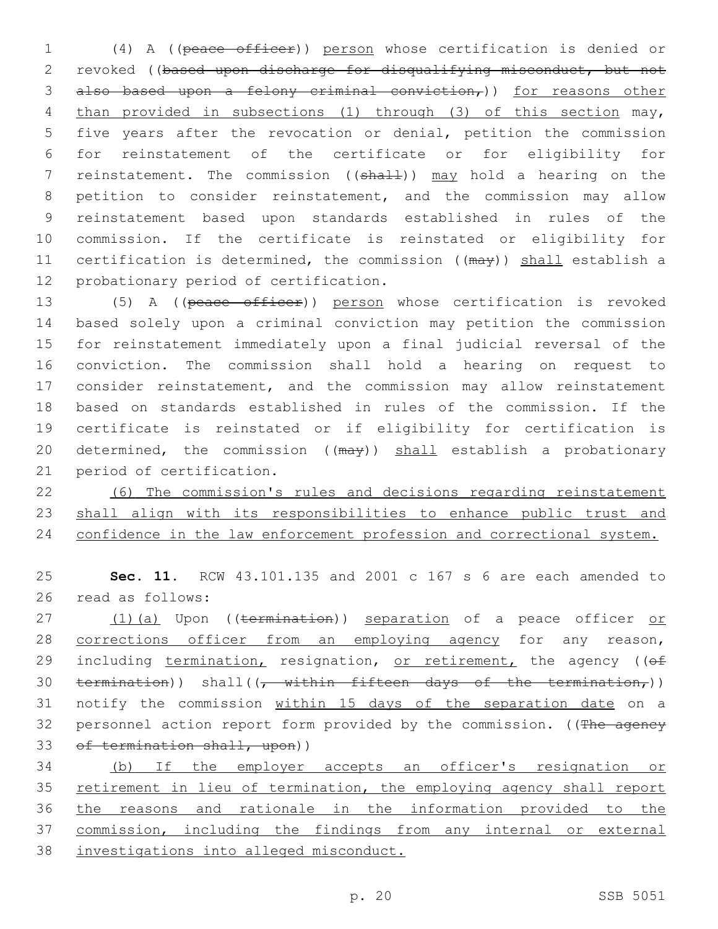(4) A ((peace officer)) person whose certification is denied or revoked ((based upon discharge for disqualifying misconduct, but not 3 also based upon a felony criminal conviction,)) for reasons other than provided in subsections (1) through (3) of this section may, five years after the revocation or denial, petition the commission for reinstatement of the certificate or for eligibility for 7 reinstatement. The commission ((shall)) may hold a hearing on the petition to consider reinstatement, and the commission may allow reinstatement based upon standards established in rules of the commission. If the certificate is reinstated or eligibility for 11 certification is determined, the commission ((may)) shall establish a 12 probationary period of certification.

13 (5) A ((peace officer)) person whose certification is revoked based solely upon a criminal conviction may petition the commission for reinstatement immediately upon a final judicial reversal of the conviction. The commission shall hold a hearing on request to consider reinstatement, and the commission may allow reinstatement based on standards established in rules of the commission. If the certificate is reinstated or if eligibility for certification is 20 determined, the commission ((may)) shall establish a probationary 21 period of certification.

22 (6) The commission's rules and decisions regarding reinstatement 23 shall align with its responsibilities to enhance public trust and 24 confidence in the law enforcement profession and correctional system.

25 **Sec. 11.** RCW 43.101.135 and 2001 c 167 s 6 are each amended to 26 read as follows:

27 (1)(a) Upon ((termination)) separation of a peace officer or 28 corrections officer from an employing agency for any reason, 29 including termination, resignation, or retirement, the agency ((of 30 termination)) shall( $\frac{1}{r}$  within fifteen days of the termination,)) 31 notify the commission within 15 days of the separation date on a 32 personnel action report form provided by the commission. ((The ageney 33 of termination shall, upon))

 (b) If the employer accepts an officer's resignation or retirement in lieu of termination, the employing agency shall report the reasons and rationale in the information provided to the commission, including the findings from any internal or external investigations into alleged misconduct.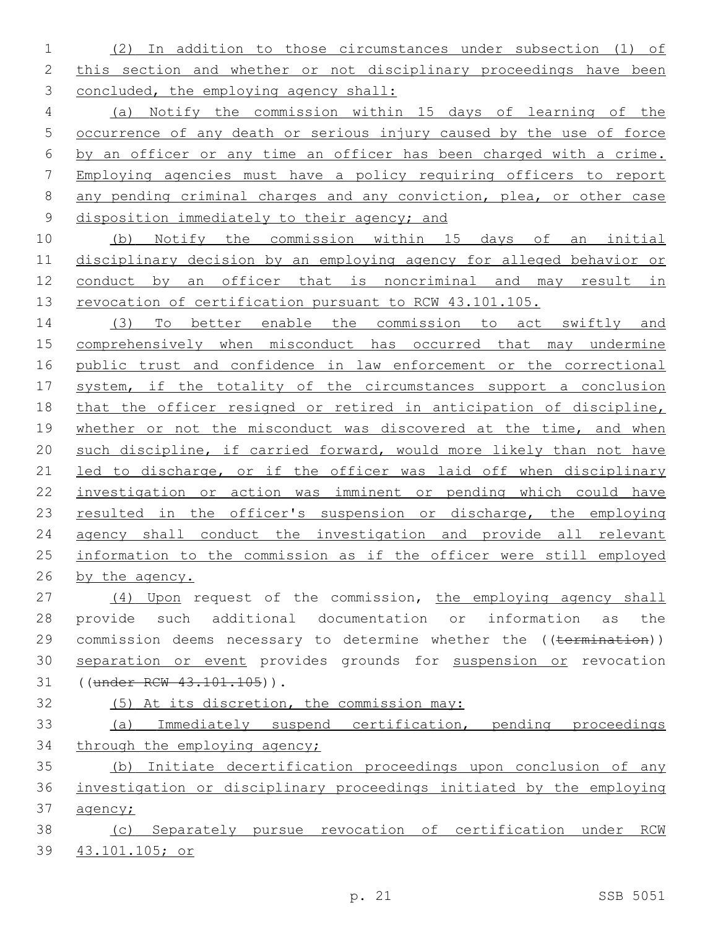(2) In addition to those circumstances under subsection (1) of this section and whether or not disciplinary proceedings have been concluded, the employing agency shall:

 (a) Notify the commission within 15 days of learning of the occurrence of any death or serious injury caused by the use of force by an officer or any time an officer has been charged with a crime. Employing agencies must have a policy requiring officers to report any pending criminal charges and any conviction, plea, or other case disposition immediately to their agency; and

 (b) Notify the commission within 15 days of an initial disciplinary decision by an employing agency for alleged behavior or conduct by an officer that is noncriminal and may result in 13 revocation of certification pursuant to RCW 43.101.105.

 (3) To better enable the commission to act swiftly and comprehensively when misconduct has occurred that may undermine public trust and confidence in law enforcement or the correctional 17 system, if the totality of the circumstances support a conclusion that the officer resigned or retired in anticipation of discipline, whether or not the misconduct was discovered at the time, and when such discipline, if carried forward, would more likely than not have 21 led to discharge, or if the officer was laid off when disciplinary investigation or action was imminent or pending which could have 23 resulted in the officer's suspension or discharge, the employing 24 agency shall conduct the investigation and provide all relevant information to the commission as if the officer were still employed by the agency.

27 (4) Upon request of the commission, the employing agency shall provide such additional documentation or information as the 29 commission deems necessary to determine whether the ((termination)) 30 separation or event provides grounds for suspension or revocation 31 ((under RCW 43.101.105)).

(5) At its discretion, the commission may:

 (a) Immediately suspend certification, pending proceedings 34 through the employing agency;

 (b) Initiate decertification proceedings upon conclusion of any investigation or disciplinary proceedings initiated by the employing agency;

 (c) Separately pursue revocation of certification under RCW 43.101.105; or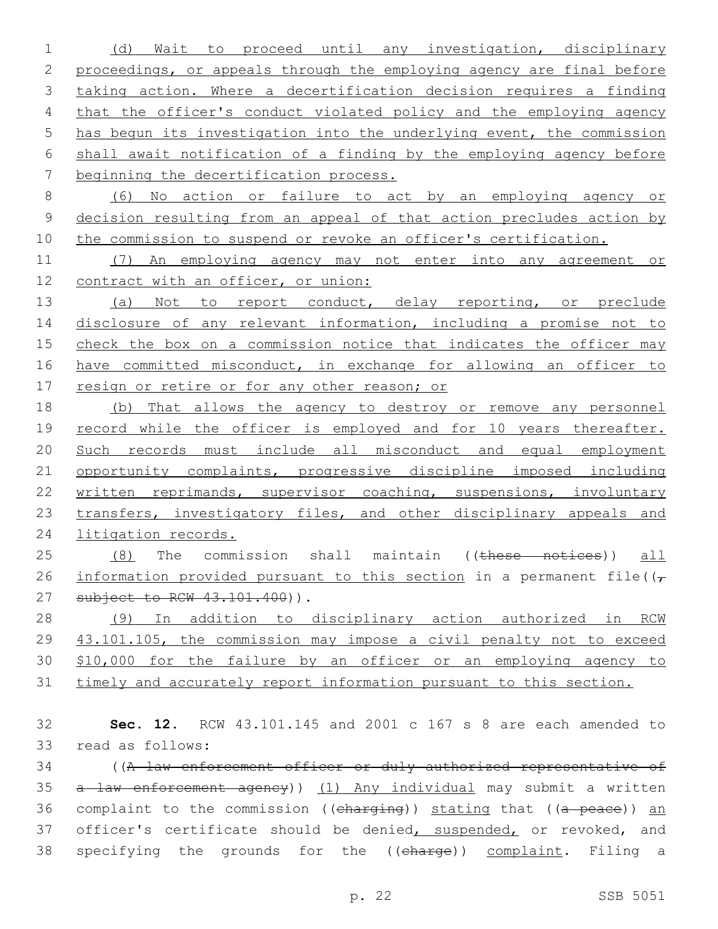(d) Wait to proceed until any investigation, disciplinary proceedings, or appeals through the employing agency are final before taking action. Where a decertification decision requires a finding that the officer's conduct violated policy and the employing agency has begun its investigation into the underlying event, the commission shall await notification of a finding by the employing agency before beginning the decertification process.

8 (6) No action or failure to act by an employing agency or 9 decision resulting from an appeal of that action precludes action by 10 the commission to suspend or revoke an officer's certification.

11 (7) An employing agency may not enter into any agreement or 12 contract with an officer, or union:

13 (a) Not to report conduct, delay reporting, or preclude 14 disclosure of any relevant information, including a promise not to 15 check the box on a commission notice that indicates the officer may 16 have committed misconduct, in exchange for allowing an officer to 17 resign or retire or for any other reason; or

18 (b) That allows the agency to destroy or remove any personnel 19 record while the officer is employed and for 10 years thereafter. 20 Such records must include all misconduct and equal employment 21 opportunity complaints, progressive discipline imposed including 22 written reprimands, supervisor coaching, suspensions, involuntary 23 transfers, investigatory files, and other disciplinary appeals and 24 litigation records.

25 (8) The commission shall maintain ((these notices)) all 26 information provided pursuant to this section in a permanent file( $(\tau)$ 27 subject to RCW 43.101.400)).

 (9) In addition to disciplinary action authorized in RCW 43.101.105, the commission may impose a civil penalty not to exceed \$10,000 for the failure by an officer or an employing agency to timely and accurately report information pursuant to this section.

32 **Sec. 12.** RCW 43.101.145 and 2001 c 167 s 8 are each amended to read as follows:33

34 ((A law enforcement officer or duly authorized representative of 35 a law enforcement agency)) (1) Any individual may submit a written 36 complaint to the commission ((charging)) stating that ((a peace)) an 37 officer's certificate should be denied, suspended, or revoked, and 38 specifying the grounds for the ((charge)) complaint. Filing a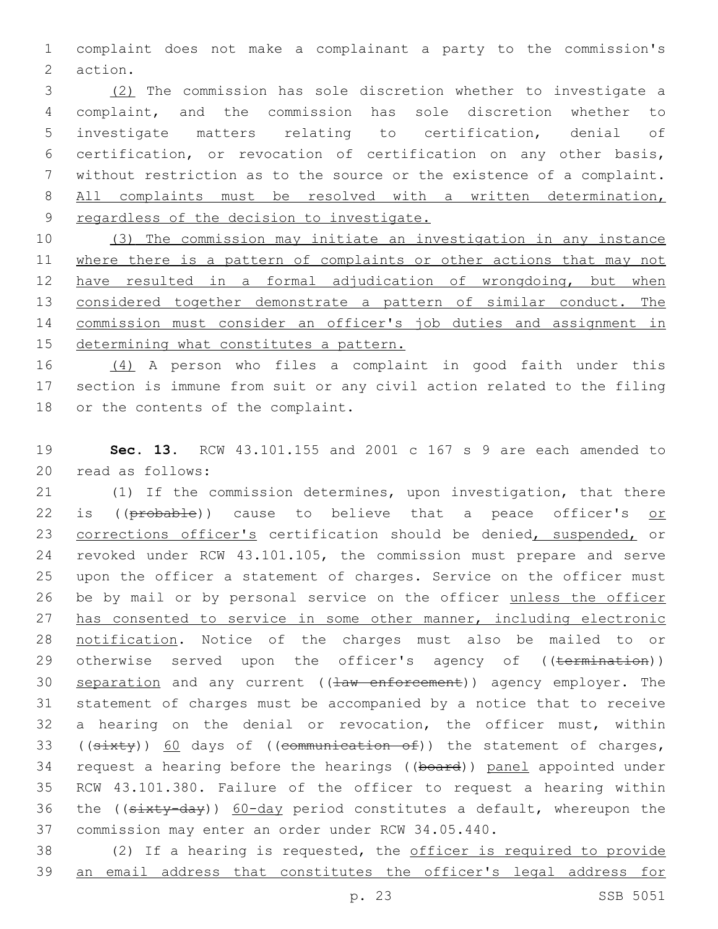1 complaint does not make a complainant a party to the commission's 2 action.

 (2) The commission has sole discretion whether to investigate a complaint, and the commission has sole discretion whether to investigate matters relating to certification, denial of certification, or revocation of certification on any other basis, without restriction as to the source or the existence of a complaint. 8 All complaints must be resolved with a written determination, regardless of the decision to investigate.

 (3) The commission may initiate an investigation in any instance 11 where there is a pattern of complaints or other actions that may not have resulted in a formal adjudication of wrongdoing, but when 13 considered together demonstrate a pattern of similar conduct. The commission must consider an officer's job duties and assignment in determining what constitutes a pattern.

16 (4) A person who files a complaint in good faith under this 17 section is immune from suit or any civil action related to the filing 18 or the contents of the complaint.

19 **Sec. 13.** RCW 43.101.155 and 2001 c 167 s 9 are each amended to 20 read as follows:

21 (1) If the commission determines, upon investigation, that there 22 is ((probable)) cause to believe that a peace officer's or 23 corrections officer's certification should be denied, suspended, or 24 revoked under RCW 43.101.105, the commission must prepare and serve 25 upon the officer a statement of charges. Service on the officer must 26 be by mail or by personal service on the officer unless the officer 27 has consented to service in some other manner, including electronic 28 notification. Notice of the charges must also be mailed to or 29 otherwise served upon the officer's agency of ((termination)) 30 separation and any current ((law enforcement)) agency employer. The 31 statement of charges must be accompanied by a notice that to receive 32 a hearing on the denial or revocation, the officer must, within 33 (( $s$ ixty)) 60 days of (( $e$ ommunication of)) the statement of charges, 34 request a hearing before the hearings ((board)) panel appointed under 35 RCW 43.101.380. Failure of the officer to request a hearing within 36 the ((sixty-day)) 60-day period constitutes a default, whereupon the 37 commission may enter an order under RCW 34.05.440.

38 (2) If a hearing is requested, the officer is required to provide 39 an email address that constitutes the officer's legal address for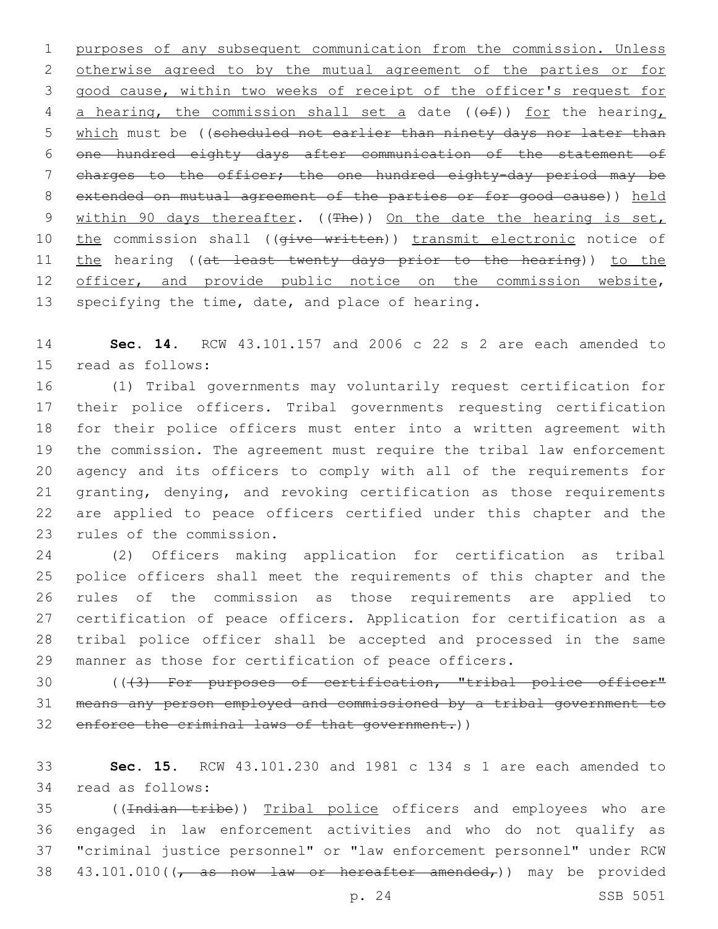purposes of any subsequent communication from the commission. Unless otherwise agreed to by the mutual agreement of the parties or for good cause, within two weeks of receipt of the officer's request for 4 a hearing, the commission shall set a date ( $(\theta f)$ ) for the hearing, 5 which must be ((scheduled not earlier than ninety days nor later than one hundred eighty days after communication of the statement of charges to the officer; the one hundred eighty-day period may be extended on mutual agreement of the parties or for good cause)) held 9 within 90 days thereafter. ((The)) On the date the hearing is set, 10 the commission shall ((give written)) transmit electronic notice of 11 the hearing ((at least twenty days prior to the hearing)) to the 12 officer, and provide public notice on the commission website, 13 specifying the time, date, and place of hearing.

 **Sec. 14.** RCW 43.101.157 and 2006 c 22 s 2 are each amended to 15 read as follows:

 (1) Tribal governments may voluntarily request certification for their police officers. Tribal governments requesting certification for their police officers must enter into a written agreement with the commission. The agreement must require the tribal law enforcement agency and its officers to comply with all of the requirements for granting, denying, and revoking certification as those requirements are applied to peace officers certified under this chapter and the 23 rules of the commission.

 (2) Officers making application for certification as tribal police officers shall meet the requirements of this chapter and the rules of the commission as those requirements are applied to certification of peace officers. Application for certification as a tribal police officer shall be accepted and processed in the same manner as those for certification of peace officers.

30 (((3) For purposes of certification, "tribal police officer" means any person employed and commissioned by a tribal government to 32 enforce the criminal laws of that government.))

 **Sec. 15.** RCW 43.101.230 and 1981 c 134 s 1 are each amended to read as follows:34

 ((Indian tribe)) Tribal police officers and employees who are engaged in law enforcement activities and who do not qualify as "criminal justice personnel" or "law enforcement personnel" under RCW  $43.101.010$  ( $\sqrt{as}$  now law or hereafter amended,)) may be provided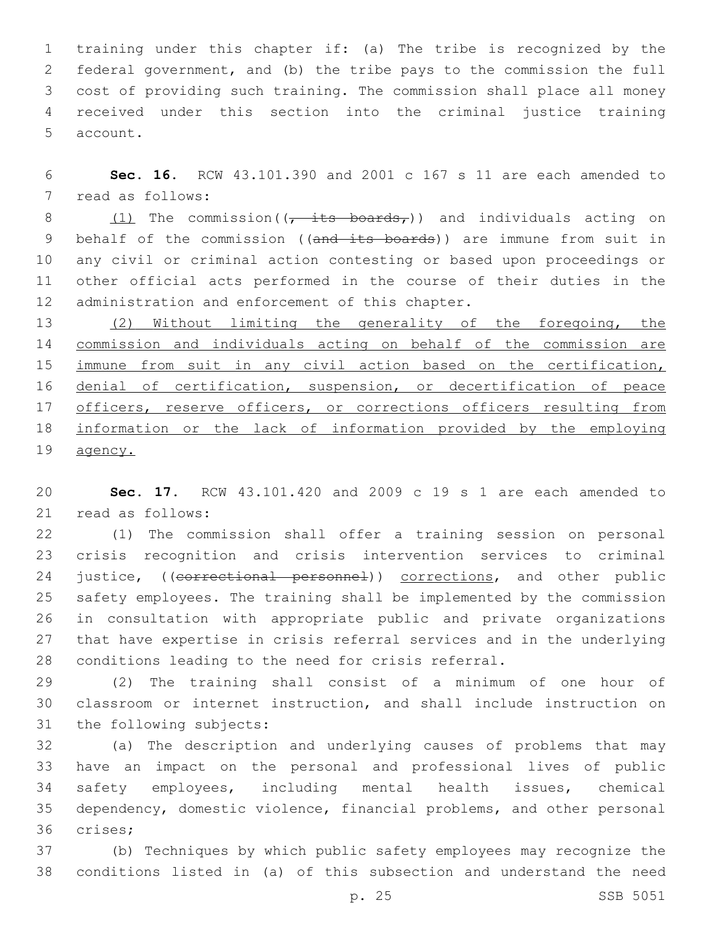training under this chapter if: (a) The tribe is recognized by the federal government, and (b) the tribe pays to the commission the full cost of providing such training. The commission shall place all money received under this section into the criminal justice training 5 account.

 **Sec. 16.** RCW 43.101.390 and 2001 c 167 s 11 are each amended to 7 read as follows:

8  $(1)$  The commission( $\overline{6}$  its boards,)) and individuals acting on 9 behalf of the commission ((and its boards)) are immune from suit in any civil or criminal action contesting or based upon proceedings or other official acts performed in the course of their duties in the 12 administration and enforcement of this chapter.

 (2) Without limiting the generality of the foregoing, the commission and individuals acting on behalf of the commission are 15 immune from suit in any civil action based on the certification, 16 denial of certification, suspension, or decertification of peace 17 officers, reserve officers, or corrections officers resulting from information or the lack of information provided by the employing agency.

 **Sec. 17.** RCW 43.101.420 and 2009 c 19 s 1 are each amended to 21 read as follows:

 (1) The commission shall offer a training session on personal crisis recognition and crisis intervention services to criminal 24 justice, ((correctional personnel)) corrections, and other public safety employees. The training shall be implemented by the commission in consultation with appropriate public and private organizations that have expertise in crisis referral services and in the underlying conditions leading to the need for crisis referral.

 (2) The training shall consist of a minimum of one hour of classroom or internet instruction, and shall include instruction on 31 the following subjects:

 (a) The description and underlying causes of problems that may have an impact on the personal and professional lives of public safety employees, including mental health issues, chemical dependency, domestic violence, financial problems, and other personal 36 crises;

 (b) Techniques by which public safety employees may recognize the conditions listed in (a) of this subsection and understand the need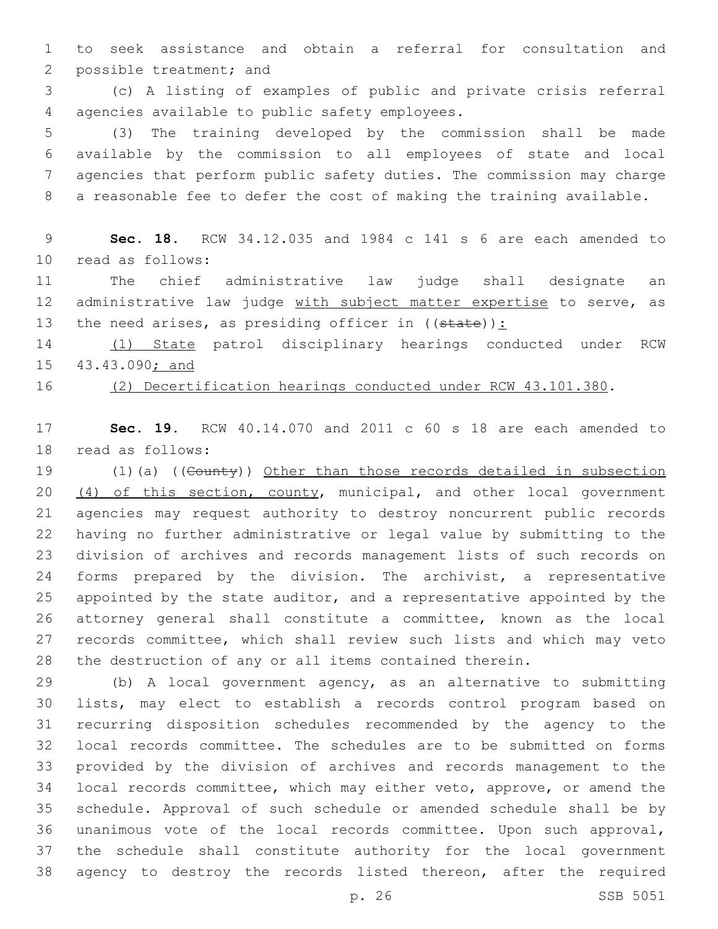to seek assistance and obtain a referral for consultation and 2 possible treatment; and

 (c) A listing of examples of public and private crisis referral agencies available to public safety employees.4

 (3) The training developed by the commission shall be made available by the commission to all employees of state and local agencies that perform public safety duties. The commission may charge a reasonable fee to defer the cost of making the training available.

 **Sec. 18.** RCW 34.12.035 and 1984 c 141 s 6 are each amended to read as follows:10

 The chief administrative law judge shall designate an 12 administrative law judge with subject matter expertise to serve, as 13 the need arises, as presiding officer in  $((state))$ :

 (1) State patrol disciplinary hearings conducted under RCW 43.43.090; and

(2) Decertification hearings conducted under RCW 43.101.380.

 **Sec. 19.** RCW 40.14.070 and 2011 c 60 s 18 are each amended to 18 read as follows:

 (1)(a) ((County)) Other than those records detailed in subsection 20 (4) of this section, county, municipal, and other local government agencies may request authority to destroy noncurrent public records having no further administrative or legal value by submitting to the division of archives and records management lists of such records on forms prepared by the division. The archivist, a representative appointed by the state auditor, and a representative appointed by the attorney general shall constitute a committee, known as the local records committee, which shall review such lists and which may veto the destruction of any or all items contained therein.

 (b) A local government agency, as an alternative to submitting lists, may elect to establish a records control program based on recurring disposition schedules recommended by the agency to the local records committee. The schedules are to be submitted on forms provided by the division of archives and records management to the local records committee, which may either veto, approve, or amend the schedule. Approval of such schedule or amended schedule shall be by unanimous vote of the local records committee. Upon such approval, the schedule shall constitute authority for the local government agency to destroy the records listed thereon, after the required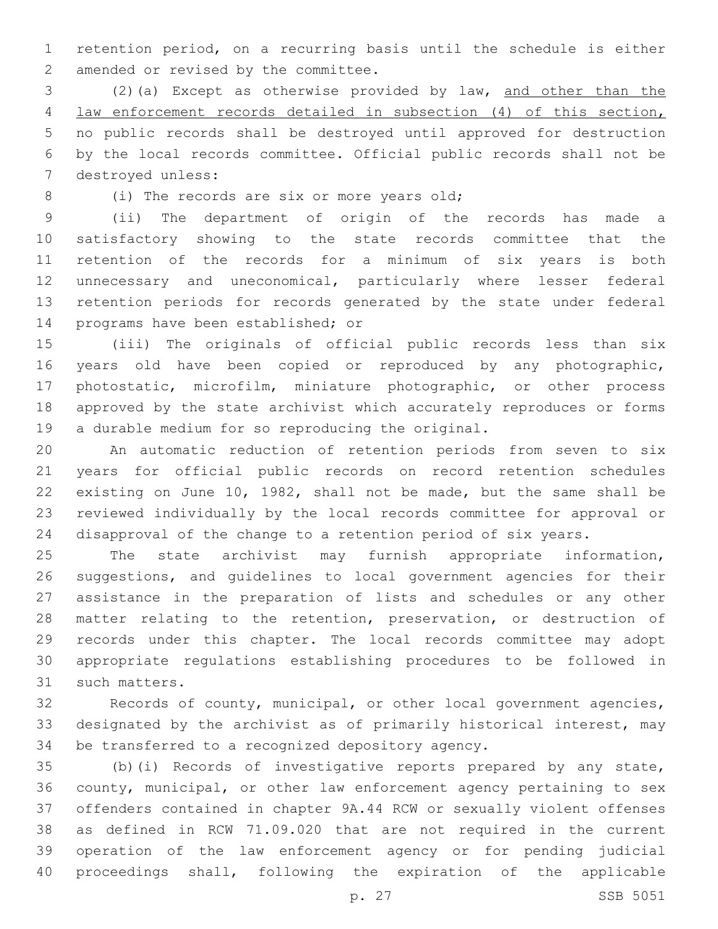retention period, on a recurring basis until the schedule is either 2 amended or revised by the committee.

 (2)(a) Except as otherwise provided by law, and other than the law enforcement records detailed in subsection (4) of this section, no public records shall be destroyed until approved for destruction by the local records committee. Official public records shall not be 7 destroyed unless:

8 (i) The records are six or more years old;

 (ii) The department of origin of the records has made a satisfactory showing to the state records committee that the retention of the records for a minimum of six years is both unnecessary and uneconomical, particularly where lesser federal retention periods for records generated by the state under federal 14 programs have been established; or

 (iii) The originals of official public records less than six years old have been copied or reproduced by any photographic, photostatic, microfilm, miniature photographic, or other process approved by the state archivist which accurately reproduces or forms 19 a durable medium for so reproducing the original.

 An automatic reduction of retention periods from seven to six years for official public records on record retention schedules existing on June 10, 1982, shall not be made, but the same shall be reviewed individually by the local records committee for approval or disapproval of the change to a retention period of six years.

 The state archivist may furnish appropriate information, suggestions, and guidelines to local government agencies for their assistance in the preparation of lists and schedules or any other matter relating to the retention, preservation, or destruction of records under this chapter. The local records committee may adopt appropriate regulations establishing procedures to be followed in 31 such matters.

 Records of county, municipal, or other local government agencies, designated by the archivist as of primarily historical interest, may 34 be transferred to a recognized depository agency.

 (b)(i) Records of investigative reports prepared by any state, county, municipal, or other law enforcement agency pertaining to sex offenders contained in chapter 9A.44 RCW or sexually violent offenses as defined in RCW 71.09.020 that are not required in the current operation of the law enforcement agency or for pending judicial proceedings shall, following the expiration of the applicable

p. 27 SSB 5051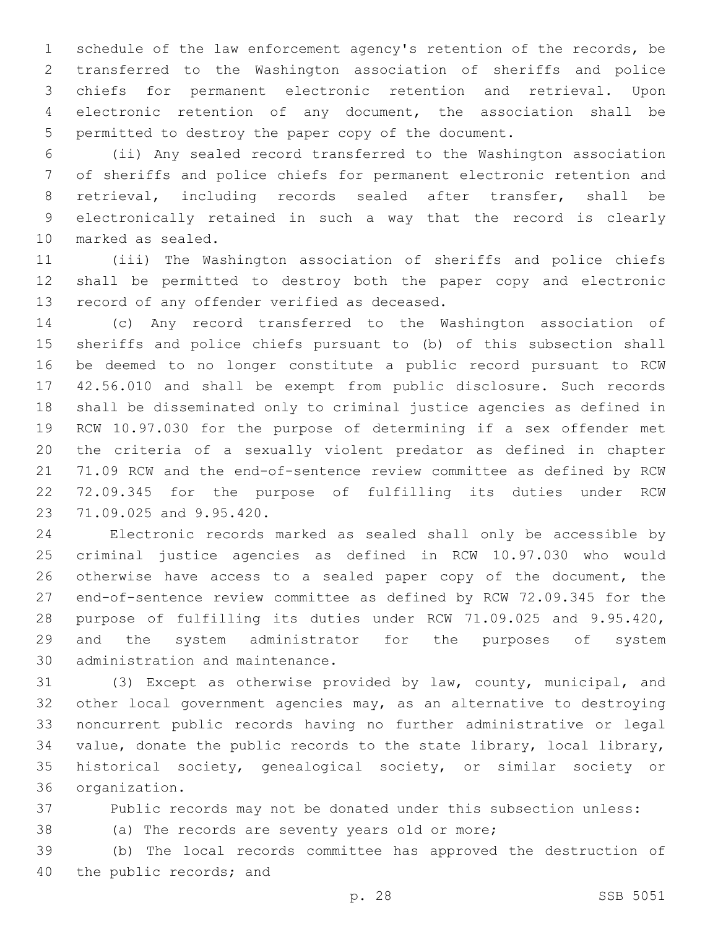schedule of the law enforcement agency's retention of the records, be transferred to the Washington association of sheriffs and police chiefs for permanent electronic retention and retrieval. Upon electronic retention of any document, the association shall be permitted to destroy the paper copy of the document.

 (ii) Any sealed record transferred to the Washington association of sheriffs and police chiefs for permanent electronic retention and retrieval, including records sealed after transfer, shall be electronically retained in such a way that the record is clearly 10 marked as sealed.

 (iii) The Washington association of sheriffs and police chiefs shall be permitted to destroy both the paper copy and electronic 13 record of any offender verified as deceased.

 (c) Any record transferred to the Washington association of sheriffs and police chiefs pursuant to (b) of this subsection shall be deemed to no longer constitute a public record pursuant to RCW 42.56.010 and shall be exempt from public disclosure. Such records shall be disseminated only to criminal justice agencies as defined in RCW 10.97.030 for the purpose of determining if a sex offender met the criteria of a sexually violent predator as defined in chapter 71.09 RCW and the end-of-sentence review committee as defined by RCW 72.09.345 for the purpose of fulfilling its duties under RCW 23 71.09.025 and 9.95.420.

 Electronic records marked as sealed shall only be accessible by criminal justice agencies as defined in RCW 10.97.030 who would otherwise have access to a sealed paper copy of the document, the end-of-sentence review committee as defined by RCW 72.09.345 for the purpose of fulfilling its duties under RCW 71.09.025 and 9.95.420, and the system administrator for the purposes of system 30 administration and maintenance.

 (3) Except as otherwise provided by law, county, municipal, and other local government agencies may, as an alternative to destroying noncurrent public records having no further administrative or legal value, donate the public records to the state library, local library, historical society, genealogical society, or similar society or 36 organization.

Public records may not be donated under this subsection unless:

(a) The records are seventy years old or more;

 (b) The local records committee has approved the destruction of 40 the public records; and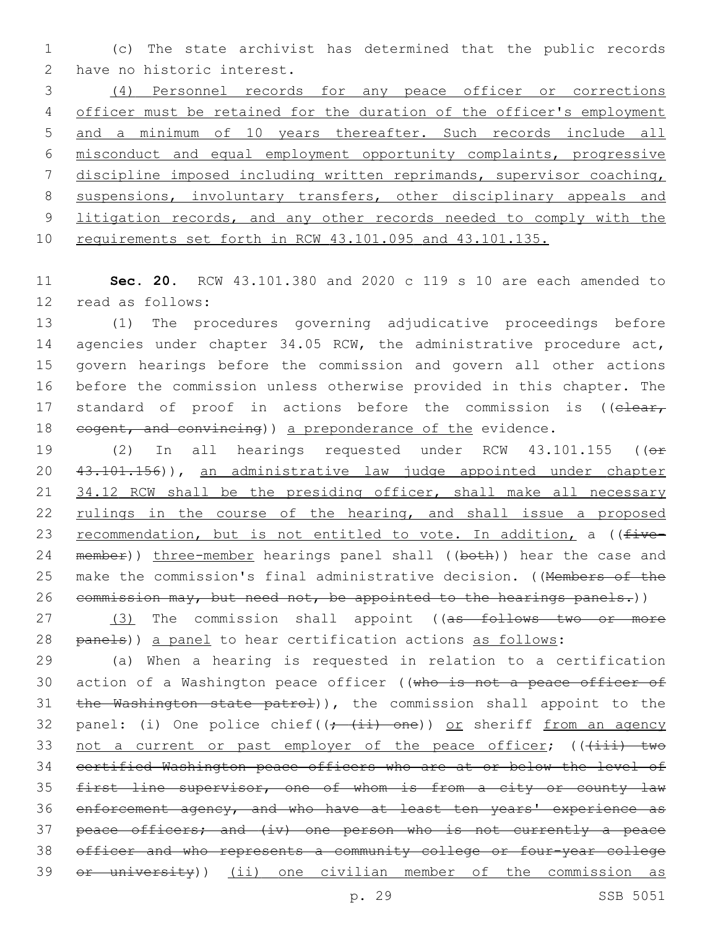1 (c) The state archivist has determined that the public records 2 have no historic interest.

 (4) Personnel records for any peace officer or corrections 4 officer must be retained for the duration of the officer's employment and a minimum of 10 years thereafter. Such records include all misconduct and equal employment opportunity complaints, progressive discipline imposed including written reprimands, supervisor coaching, suspensions, involuntary transfers, other disciplinary appeals and 9 litigation records, and any other records needed to comply with the requirements set forth in RCW 43.101.095 and 43.101.135.

11 **Sec. 20.** RCW 43.101.380 and 2020 c 119 s 10 are each amended to 12 read as follows:

13 (1) The procedures governing adjudicative proceedings before 14 agencies under chapter 34.05 RCW, the administrative procedure act, 15 govern hearings before the commission and govern all other actions 16 before the commission unless otherwise provided in this chapter. The 17 standard of proof in actions before the commission is ((elear, 18 eogent, and convincing) a preponderance of the evidence.

19 (2) In all hearings requested under RCW 43.101.155 ((or 20 43.101.156)), an administrative law judge appointed under chapter 21 34.12 RCW shall be the presiding officer, shall make all necessary 22 rulings in the course of the hearing, and shall issue a proposed 23 recommendation, but is not entitled to vote. In addition, a ((five-24 member)) three-member hearings panel shall ((both)) hear the case and 25 make the commission's final administrative decision. ((Members of the 26 commission may, but need not, be appointed to the hearings panels.))

27 (3) The commission shall appoint ((as follows two or more 28 panels)) a panel to hear certification actions as follows:

29 (a) When a hearing is requested in relation to a certification 30 action of a Washington peace officer ((who is not a peace officer of 31 the Washington state patrol)), the commission shall appoint to the 32 panel: (i) One police chief( $(+$   $(i)$  -  $(n)$ ) or sheriff from an agency 33 not a current or past employer of the peace officer;  $((+iii)$  two 34 certified Washington peace officers who are at or below the level of 35 first line supervisor, one of whom is from a city or county law 36 enforcement agency, and who have at least ten years' experience as 37 peace officers; and (iv) one person who is not currently a peace 38 officer and who represents a community college or four-year college 39 <del>or university</del>)) (ii) one civilian member of the commission as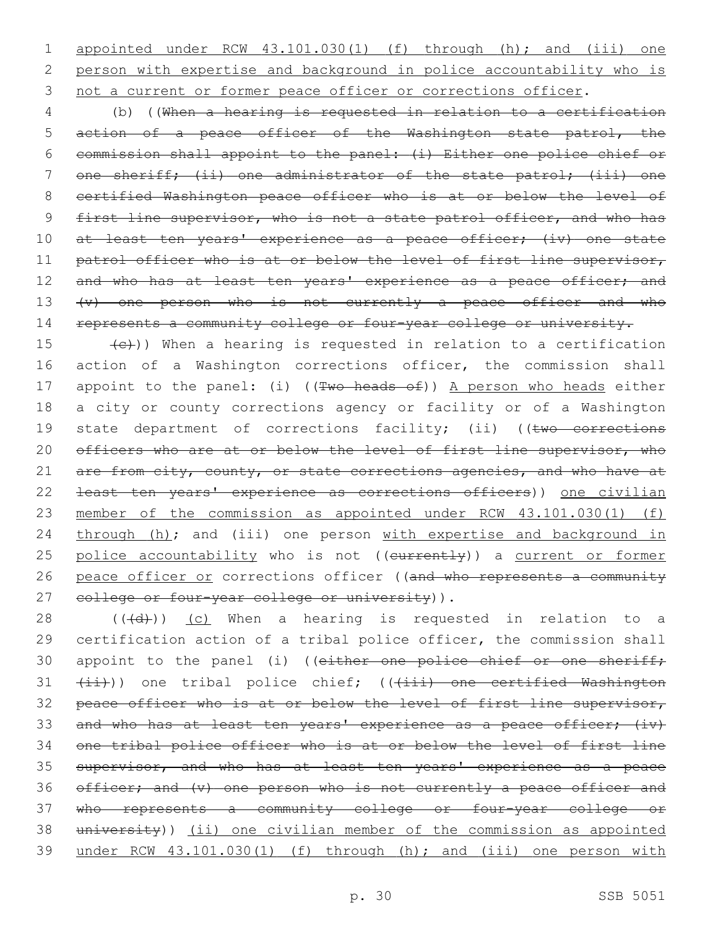1 appointed under RCW 43.101.030(1) (f) through (h); and (iii) one 2 person with expertise and background in police accountability who is 3 not a current or former peace officer or corrections officer.

4 (b) ((When a hearing is requested in relation to a certification 5 action of a peace officer of the Washington state patrol, the 6 commission shall appoint to the panel: (i) Either one police chief or 7 one sheriff; (ii) one administrator of the state patrol; (iii) one 8 certified Washington peace officer who is at or below the level of 9 first line supervisor, who is not a state patrol officer, and who has 10 at least ten years' experience as a peace officer; (iv) one state 11 patrol officer who is at or below the level of first line supervisor, 12 and who has at least ten years' experience as a peace officer; and 13 (v) one person who is not currently a peace officer and who 14 represents a community college or four-year college or university.

15  $(e)$ )) When a hearing is requested in relation to a certification 16 action of a Washington corrections officer, the commission shall 17 appoint to the panel: (i) ((Two heads of)) A person who heads either 18 a city or county corrections agency or facility or of a Washington 19 state department of corrections facility; (ii) ((two corrections 20 officers who are at or below the level of first line supervisor, who 21 are from city, county, or state corrections agencies, and who have at 22 least ten years' experience as corrections officers)) one civilian 23 member of the commission as appointed under RCW 43.101.030(1) (f) 24 through (h); and (iii) one person with expertise and background in 25 police accountability who is not ((eurrently)) a current or former 26 peace officer or corrections officer ((and who represents a community 27 eollege or four-year college or university)).

28  $((+d))$   $(c)$  When a hearing is requested in relation to a 29 certification action of a tribal police officer, the commission shall 30 appoint to the panel (i) ((either one police chief or one sheriff; 31 (ii))) one tribal police chief; (((iii) one certified Washington 32 peace officer who is at or below the level of first line supervisor, 33 and who has at least ten years' experience as a peace officer; (iv) 34 one tribal police officer who is at or below the level of first line 35 supervisor, and who has at least ten years' experience as a peace 36 officer; and (v) one person who is not currently a peace officer and 37 who represents a community college or four-year college or 38 university)) (ii) one civilian member of the commission as appointed 39 under RCW 43.101.030(1) (f) through (h); and (iii) one person with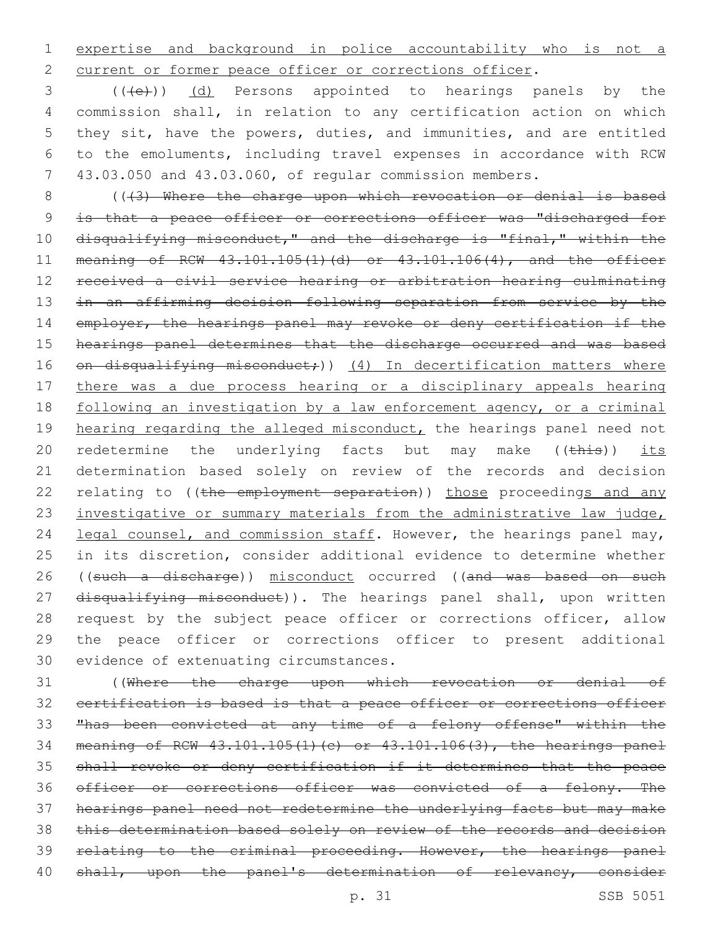1 expertise and background in police accountability who is not a 2 current or former peace officer or corrections officer.

3 (((e)) (d) Persons appointed to hearings panels by the commission shall, in relation to any certification action on which they sit, have the powers, duties, and immunities, and are entitled to the emoluments, including travel expenses in accordance with RCW 43.03.050 and 43.03.060, of regular commission members.

8 ((+3) Where the charge upon which revocation or denial is based 9 is that a peace officer or corrections officer was "discharged for 10 disqualifying misconduct," and the discharge is "final," within the 11 meaning of RCW 43.101.105(1)(d) or 43.101.106(4), and the officer 12 received a civil service hearing or arbitration hearing culminating 13 in an affirming decision following separation from service by the 14 employer, the hearings panel may revoke or deny certification if the 15 hearings panel determines that the discharge occurred and was based 16 on disqualifying misconduct;)) (4) In decertification matters where 17 there was a due process hearing or a disciplinary appeals hearing 18 following an investigation by a law enforcement agency, or a criminal 19 hearing regarding the alleged misconduct, the hearings panel need not 20 redetermine the underlying facts but may make ((this)) its 21 determination based solely on review of the records and decision 22 relating to ((the employment separation)) those proceedings and any 23 investigative or summary materials from the administrative law judge, 24 legal counsel, and commission staff. However, the hearings panel may, 25 in its discretion, consider additional evidence to determine whether 26 ((such a discharge)) misconduct occurred ((and was based on such 27 disqualifying misconduct)). The hearings panel shall, upon written 28 request by the subject peace officer or corrections officer, allow 29 the peace officer or corrections officer to present additional 30 evidence of extenuating circumstances.

 ((Where the charge upon which revocation or denial of certification is based is that a peace officer or corrections officer "has been convicted at any time of a felony offense" within the meaning of RCW 43.101.105(1)(c) or 43.101.106(3), the hearings panel shall revoke or deny certification if it determines that the peace 36 officer or corrections officer was convicted of a felony. The hearings panel need not redetermine the underlying facts but may make this determination based solely on review of the records and decision 39 relating to the criminal proceeding. However, the hearings panel 40 shall, upon the panel's determination of relevancy, consider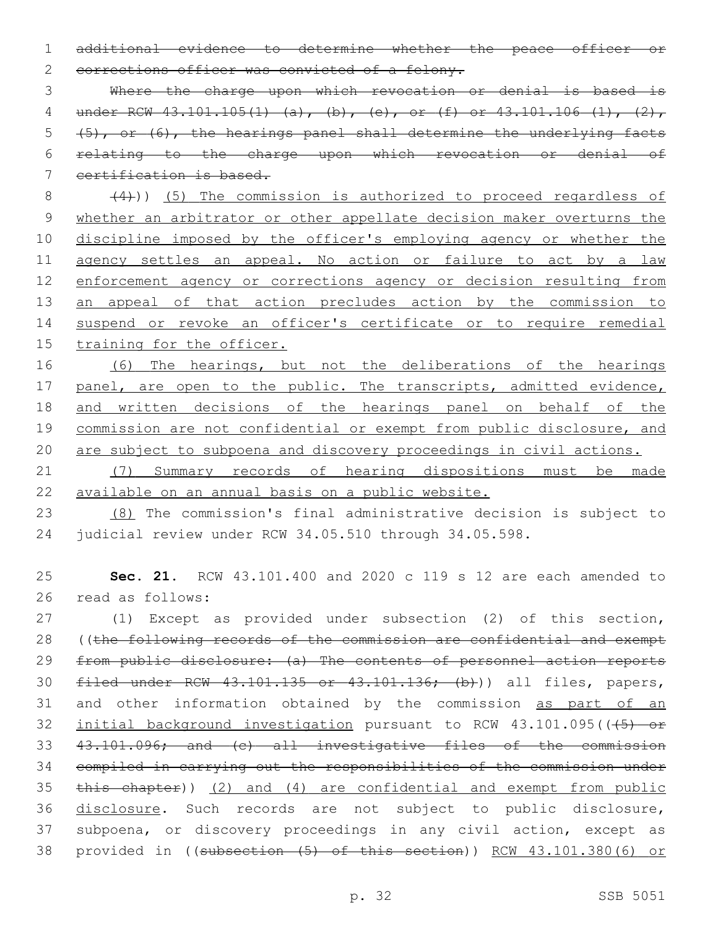1 additional evidence to determine whether the peace officer or 2 corrections officer was convicted of a felony.

 Where the charge upon which revocation or denial is based is 4 under RCW 43.101.105(1) (a), (b), (e), or (f) or 43.101.106 (1), (2),  $(5)$ , or  $(6)$ , the hearings panel shall determine the underlying facts relating to the charge upon which revocation or denial of certification is based.

 $(4)$ )) (5) The commission is authorized to proceed regardless of 9 whether an arbitrator or other appellate decision maker overturns the 10 discipline imposed by the officer's employing agency or whether the 11 agency settles an appeal. No action or failure to act by a law 12 enforcement agency or corrections agency or decision resulting from 13 an appeal of that action precludes action by the commission to 14 suspend or revoke an officer's certificate or to require remedial 15 training for the officer.

16 (6) The hearings, but not the deliberations of the hearings 17 panel, are open to the public. The transcripts, admitted evidence, 18 and written decisions of the hearings panel on behalf of the 19 commission are not confidential or exempt from public disclosure, and 20 are subject to subpoena and discovery proceedings in civil actions.

21 (7) Summary records of hearing dispositions must be made 22 available on an annual basis on a public website.

23 (8) The commission's final administrative decision is subject to 24 judicial review under RCW 34.05.510 through 34.05.598.

25 **Sec. 21.** RCW 43.101.400 and 2020 c 119 s 12 are each amended to 26 read as follows:

 (1) Except as provided under subsection (2) of this section, ((the following records of the commission are confidential and exempt 29 from public disclosure: (a) The contents of personnel action reports 30 filed under RCW 43.101.135 or 43.101.136; (b)) all files, papers, 31 and other information obtained by the commission as part of an 32 initial background investigation pursuant to RCW 43.101.095(((45) or 43.101.096; and (c) all investigative files of the commission compiled in carrying out the responsibilities of the commission under this chapter)) (2) and (4) are confidential and exempt from public disclosure. Such records are not subject to public disclosure, subpoena, or discovery proceedings in any civil action, except as provided in ((subsection (5) of this section)) RCW 43.101.380(6) or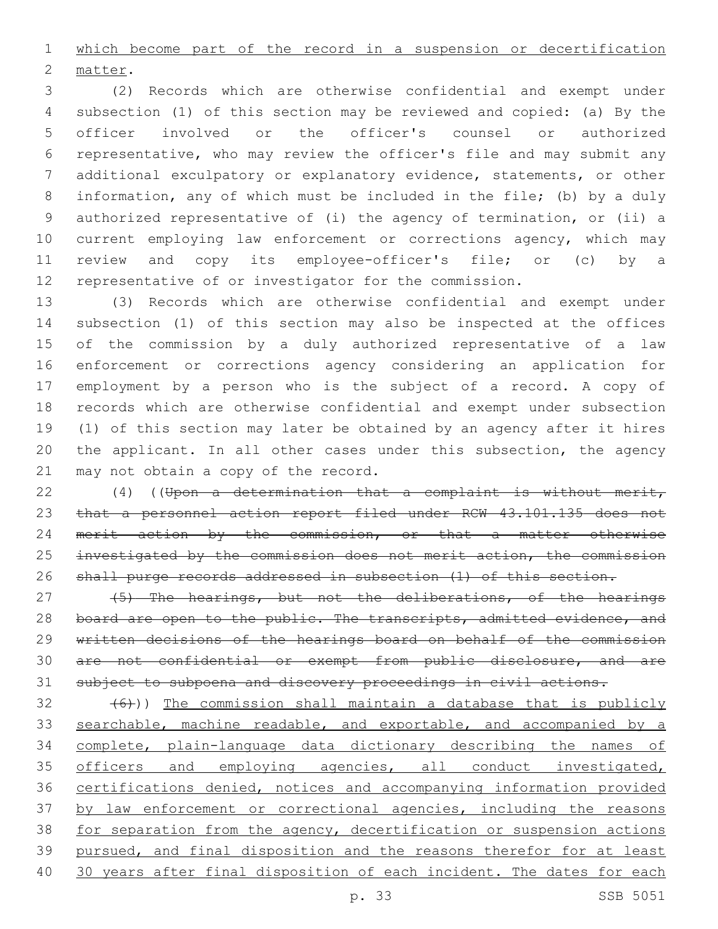which become part of the record in a suspension or decertification 2 matter.

 (2) Records which are otherwise confidential and exempt under subsection (1) of this section may be reviewed and copied: (a) By the officer involved or the officer's counsel or authorized representative, who may review the officer's file and may submit any additional exculpatory or explanatory evidence, statements, or other information, any of which must be included in the file; (b) by a duly authorized representative of (i) the agency of termination, or (ii) a current employing law enforcement or corrections agency, which may review and copy its employee-officer's file; or (c) by a representative of or investigator for the commission.

 (3) Records which are otherwise confidential and exempt under subsection (1) of this section may also be inspected at the offices of the commission by a duly authorized representative of a law enforcement or corrections agency considering an application for employment by a person who is the subject of a record. A copy of records which are otherwise confidential and exempt under subsection (1) of this section may later be obtained by an agency after it hires the applicant. In all other cases under this subsection, the agency 21 may not obtain a copy of the record.

 (4) ((Upon a determination that a complaint is without merit, 23 that a personnel action report filed under RCW 43.101.135 does not 24 merit action by the commission, or that a matter otherwise 25 investigated by the commission does not merit action, the commission shall purge records addressed in subsection (1) of this section.

27 (5) The hearings, but not the deliberations, of the hearings 28 board are open to the public. The transcripts, admitted evidence, and written decisions of the hearings board on behalf of the commission are not confidential or exempt from public disclosure, and are subject to subpoena and discovery proceedings in civil actions.

 $(32 + 6)$ )) The commission shall maintain a database that is publicly 33 searchable, machine readable, and exportable, and accompanied by a complete, plain-language data dictionary describing the names of 35 officers and employing agencies, all conduct investigated, certifications denied, notices and accompanying information provided 37 by law enforcement or correctional agencies, including the reasons for separation from the agency, decertification or suspension actions pursued, and final disposition and the reasons therefor for at least 30 years after final disposition of each incident. The dates for each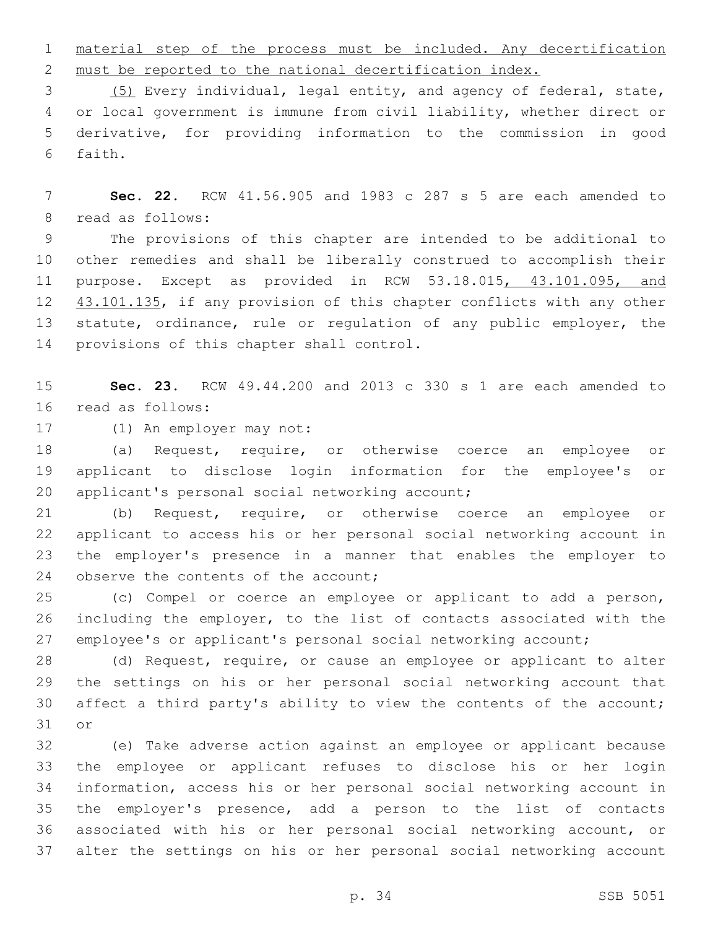material step of the process must be included. Any decertification must be reported to the national decertification index.

 (5) Every individual, legal entity, and agency of federal, state, or local government is immune from civil liability, whether direct or derivative, for providing information to the commission in good 6 faith.

 **Sec. 22.** RCW 41.56.905 and 1983 c 287 s 5 are each amended to 8 read as follows:

 The provisions of this chapter are intended to be additional to other remedies and shall be liberally construed to accomplish their 11 purpose. Except as provided in RCW 53.18.015, 43.101.095, and 12 43.101.135, if any provision of this chapter conflicts with any other 13 statute, ordinance, rule or regulation of any public employer, the 14 provisions of this chapter shall control.

 **Sec. 23.** RCW 49.44.200 and 2013 c 330 s 1 are each amended to 16 read as follows:

17 (1) An employer may not:

 (a) Request, require, or otherwise coerce an employee or applicant to disclose login information for the employee's or 20 applicant's personal social networking account;

 (b) Request, require, or otherwise coerce an employee or applicant to access his or her personal social networking account in the employer's presence in a manner that enables the employer to 24 observe the contents of the account;

 (c) Compel or coerce an employee or applicant to add a person, including the employer, to the list of contacts associated with the employee's or applicant's personal social networking account;

 (d) Request, require, or cause an employee or applicant to alter the settings on his or her personal social networking account that affect a third party's ability to view the contents of the account; 31 or

 (e) Take adverse action against an employee or applicant because the employee or applicant refuses to disclose his or her login information, access his or her personal social networking account in the employer's presence, add a person to the list of contacts associated with his or her personal social networking account, or alter the settings on his or her personal social networking account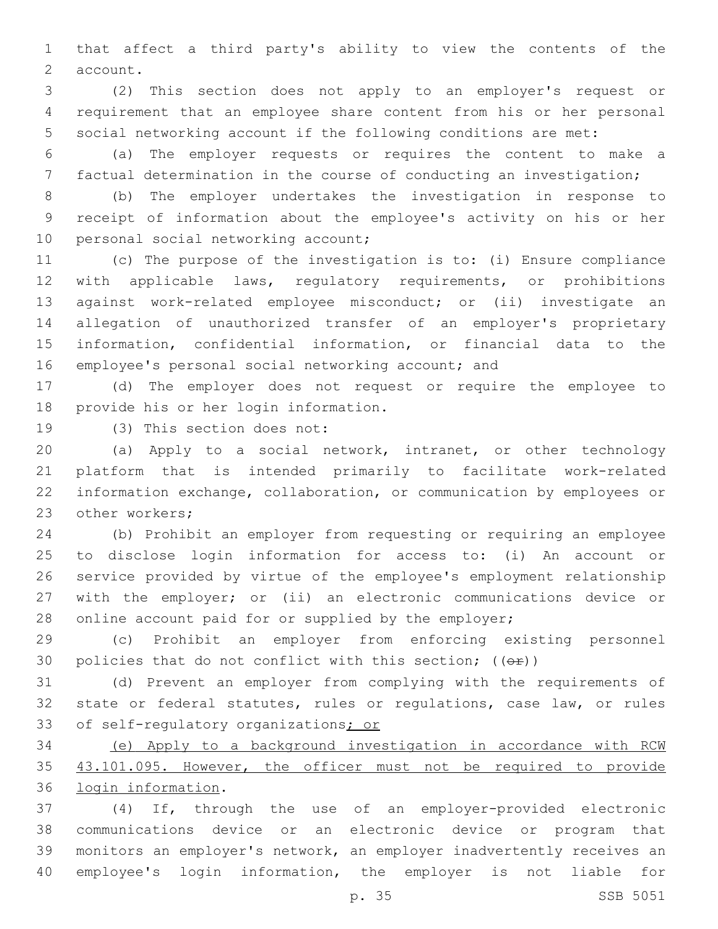that affect a third party's ability to view the contents of the 2 account.

 (2) This section does not apply to an employer's request or requirement that an employee share content from his or her personal social networking account if the following conditions are met:

 (a) The employer requests or requires the content to make a factual determination in the course of conducting an investigation;

 (b) The employer undertakes the investigation in response to receipt of information about the employee's activity on his or her 10 personal social networking account;

 (c) The purpose of the investigation is to: (i) Ensure compliance with applicable laws, regulatory requirements, or prohibitions against work-related employee misconduct; or (ii) investigate an allegation of unauthorized transfer of an employer's proprietary information, confidential information, or financial data to the employee's personal social networking account; and

 (d) The employer does not request or require the employee to 18 provide his or her login information.

19 (3) This section does not:

 (a) Apply to a social network, intranet, or other technology platform that is intended primarily to facilitate work-related information exchange, collaboration, or communication by employees or 23 other workers;

 (b) Prohibit an employer from requesting or requiring an employee to disclose login information for access to: (i) An account or service provided by virtue of the employee's employment relationship with the employer; or (ii) an electronic communications device or 28 online account paid for or supplied by the employer;

 (c) Prohibit an employer from enforcing existing personnel 30 policies that do not conflict with this section;  $((\theta \cdot \hat{r}))$ 

 (d) Prevent an employer from complying with the requirements of state or federal statutes, rules or regulations, case law, or rules 33 of self-regulatory organizations; or

 (e) Apply to a background investigation in accordance with RCW 43.101.095. However, the officer must not be required to provide 36 login information.

 (4) If, through the use of an employer-provided electronic communications device or an electronic device or program that monitors an employer's network, an employer inadvertently receives an employee's login information, the employer is not liable for

p. 35 SSB 5051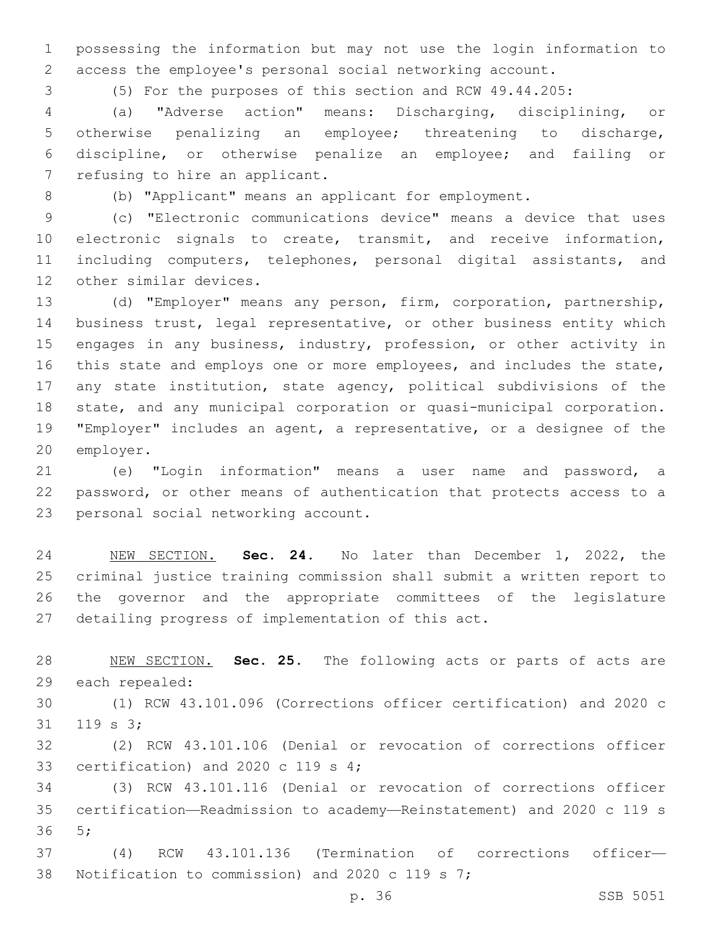possessing the information but may not use the login information to access the employee's personal social networking account.

(5) For the purposes of this section and RCW 49.44.205:

 (a) "Adverse action" means: Discharging, disciplining, or otherwise penalizing an employee; threatening to discharge, discipline, or otherwise penalize an employee; and failing or 7 refusing to hire an applicant.

(b) "Applicant" means an applicant for employment.

 (c) "Electronic communications device" means a device that uses electronic signals to create, transmit, and receive information, including computers, telephones, personal digital assistants, and 12 other similar devices.

 (d) "Employer" means any person, firm, corporation, partnership, business trust, legal representative, or other business entity which 15 engages in any business, industry, profession, or other activity in this state and employs one or more employees, and includes the state, any state institution, state agency, political subdivisions of the state, and any municipal corporation or quasi-municipal corporation. "Employer" includes an agent, a representative, or a designee of the 20 employer.

 (e) "Login information" means a user name and password, a password, or other means of authentication that protects access to a 23 personal social networking account.

 NEW SECTION. **Sec. 24.** No later than December 1, 2022, the criminal justice training commission shall submit a written report to the governor and the appropriate committees of the legislature detailing progress of implementation of this act.

 NEW SECTION. **Sec. 25.** The following acts or parts of acts are each repealed:

 (1) RCW 43.101.096 (Corrections officer certification) and 2020 c  $119$  s  $3$ ;

 (2) RCW 43.101.106 (Denial or revocation of corrections officer 33 certification) and 2020 c 119 s ;

 (3) RCW 43.101.116 (Denial or revocation of corrections officer certification—Readmission to academy—Reinstatement) and 2020 c 119 s 5;36

 (4) RCW 43.101.136 (Termination of corrections officer— 38 Notification to commission) and 2020 c 119 s 7;